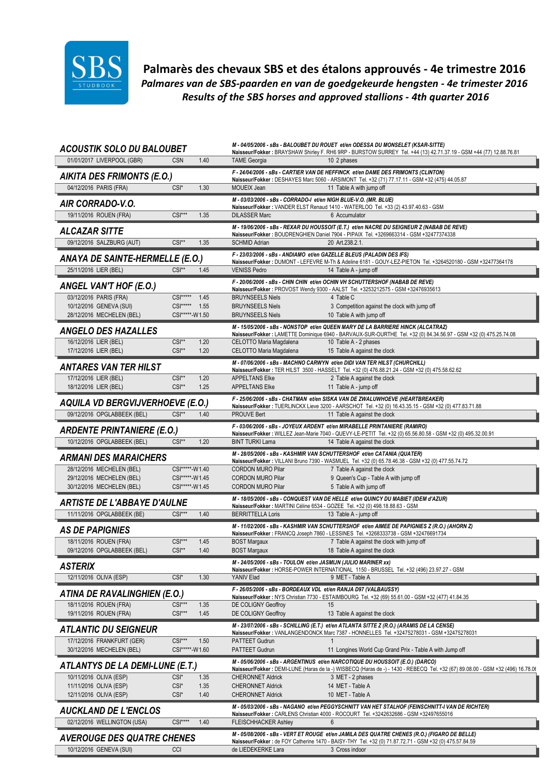

Palmarès des chevaux SBS et des étalons approuvés - 4e trimestre 2016 Palmares van de SBS-paarden en van de goedgekeurde hengsten - 4e trimester 2016 Results of the SBS horses and approved stallions - 4th quarter 2016

| <b>ACOUSTIK SOLO DU BALOUBET</b>                             |                                     | M - 04/05/2006 - sBs - BALOUBET DU ROUET et/en ODESSA DU MONSELET (KSAR-SITTE)<br>Naisseur/Fokker: BRAYSHAW Shirley F. RH6 9RP - BURSTOW SURREY Tel. +44 (13) 42.71.37.19 - GSM +44 (77) 12.88.76.81 |
|--------------------------------------------------------------|-------------------------------------|------------------------------------------------------------------------------------------------------------------------------------------------------------------------------------------------------|
| 01/01/2017 LIVERPOOL (GBR)                                   | 1.40<br><b>CSN</b>                  | <b>TAME Georgia</b><br>10 2 phases                                                                                                                                                                   |
| <b>AIKITA DES FRIMONTS (E.O.)</b>                            |                                     | F - 24/04/2006 - sBs - CARTIER VAN DE HEFFINCK et/en DAME DES FRIMONTS (CLINTON)                                                                                                                     |
| 04/12/2016 PARIS (FRA)                                       | 1.30<br>CSI <sup>*</sup>            | Naisseur/Fokker: DESHAYES Marc 5060 - ARSIMONT Tel. +32 (71) 77.17.11 - GSM +32 (475) 44.05.87<br><b>MOUEIX Jean</b><br>11 Table A with jump off                                                     |
|                                                              |                                     | M - 03/03/2006 - sBs - CORRADO-I et/en NIGH BLUE-V.O. (MR. BLUE)                                                                                                                                     |
| <b>AIR CORRADO-V.O.</b>                                      | $CSI***$                            | Naisseur/Fokker: VANDER ELST Renaud 1410 - WATERLOO Tel. +33 (2) 43.97.40.63 - GSM<br><b>DILASSER Marc</b><br>6 Accumulator                                                                          |
| 19/11/2016 ROUEN (FRA)                                       | 1.35                                | M - 19/06/2006 - sBs - REXAR DU HOUSSOIT (E.T.) et/en NACRE DU SEIGNEUR Z (NABAB DE REVE)                                                                                                            |
| <b>ALCAZAR SITTE</b>                                         |                                     | Naisseur/Fokker: BOUDRENGHIEN Daniel 7904 - PIPAIX Tel. +3269663314 - GSM +32477374338                                                                                                               |
| 09/12/2016 SALZBURG (AUT)                                    | $CSI**$<br>1.35                     | <b>SCHMID Adrian</b><br>20 Art.238.2.1.                                                                                                                                                              |
| <b>ANAYA DE SAINTE-HERMELLE (E.O.)</b>                       |                                     | F - 23/03/2006 - sBs - ANDIAMO et/en GAZELLE BLEUS (PALADIN DES IFS)<br>Naisseur/Fokker: DUMONT - LEFEVRE M-Th & Adeline 6181 - GOUY-LEZ-PIETON Tel. +3264520180 - GSM +32477364178                  |
| 25/11/2016 LIER (BEL)                                        | $CSI**$<br>1.45                     | <b>VENISS Pedro</b><br>14 Table A - jump off                                                                                                                                                         |
| ANGEL VAN'T HOF (E.O.)                                       |                                     | F - 20/06/2006 - sBs - CHIN CHIN et/en OCHIN VH SCHUTTERSHOF (NABAB DE REVE)<br>Naisseur/Fokker: PROVOST Wendy 9300 - AALST Tel. +3253212575 - GSM +32476935613                                      |
| 03/12/2016 PARIS (FRA)                                       | $CSI***$<br>1.45                    | 4 Table C<br><b>BRUYNSEELS Niels</b>                                                                                                                                                                 |
| 10/12/2016 GENEVA (SUI)                                      | CSI***** 1.55                       | <b>BRUYNSEELS Niels</b><br>3 Competition against the clock with jump off                                                                                                                             |
| 28/12/2016 MECHELEN (BEL)                                    | CSI*****-W1.50                      | <b>BRUYNSEELS Niels</b><br>10 Table A with jump off<br>M - 15/05/2006 - sBs - NONSTOP et/en QUEEN MARY DE LA BARRIERE HINCK (ALCATRAZ)                                                               |
| <b>ANGELO DES HAZALLES</b>                                   |                                     | Naisseur/Fokker : LAMETTE Dominique 6940 - BARVAUX-SUR-OURTHE Tel. +32 (0) 84.34.56.97 - GSM +32 (0) 475.25.74.08                                                                                    |
| 16/12/2016 LIER (BEL)<br>17/12/2016 LIER (BEL)               | $CSI**$<br>1.20<br>$CSI**$<br>1.20  | CELOTTO Maria Magdalena<br>10 Table A - 2 phases<br>CELOTTO Maria Magdalena<br>15 Table A against the clock                                                                                          |
|                                                              |                                     | M - 07/06/2006 - sBs - MACHNO CARWYN et/en DIDI VAN TER HILST (CHURCHILL)                                                                                                                            |
| <b>ANTARES VAN TER HILST</b>                                 |                                     | Naisseur/Fokker: TER HILST 3500 - HASSELT Tel. +32 (0) 476.88.21.24 - GSM +32 (0) 475.58.62.62                                                                                                       |
| 17/12/2016 LIER (BEL)<br>18/12/2016 LIER (BEL)               | 1.20<br>CSI**<br>$CSI**$<br>1.25    | <b>APPELTANS Elke</b><br>2 Table A against the clock<br><b>APPELTANS Elke</b><br>11 Table A - jump off                                                                                               |
|                                                              |                                     | F - 25/06/2006 - sBs - CHATMAN et/en SISKA VAN DE ZWALUWHOEVE (HEARTBREAKER)                                                                                                                         |
| AQUILA VD BERGVIJVERHOEVE (E.O.)                             |                                     | Naisseur/Fokker: TUERLINCKX Lieve 3200 - AARSCHOT Tel. +32 (0) 16.43.35.15 - GSM +32 (0) 477.83.71.88                                                                                                |
| 09/12/2016 OPGLABBEEK (BEL)                                  | $CSI**$<br>1.40                     | <b>PROUVE Bert</b><br>11 Table A against the clock                                                                                                                                                   |
| <b>ARDENTE PRINTANIERE (E.O.)</b>                            |                                     | F - 03/06/2006 - sBs - JOYEUX ARDENT et/en MIRABELLE PRINTANIERE (RAMIRO)<br>Naisseur/Fokker: WILLEZ Jean-Marie 7040 - QUEVY-LE-PETIT Tel. +32 (0) 65.56.80.58 - GSM +32 (0) 495.32.00.91            |
| 10/12/2016 OPGLABBEEK (BEL)                                  | $CSI**$<br>1.20                     | <b>BINT TURKI Lama</b><br>14 Table A against the clock                                                                                                                                               |
| <b>ARMANI DES MARAICHERS</b>                                 |                                     | M - 28/05/2006 - sBs - KASHMIR VAN SCHUTTERSHOF et/en CATANIA (QUATER)<br>Naisseur/Fokker: VILLANI Bruno 7390 - WASMUEL Tel. +32 (0) 65.78.46.38 - GSM +32 (0) 477.55.74.72                          |
| 28/12/2016 MECHELEN (BEL)                                    | CSI*****-W1.40                      | <b>CORDON MURO Pilar</b><br>7 Table A against the clock                                                                                                                                              |
| 29/12/2016 MECHELEN (BEL)<br>30/12/2016 MECHELEN (BEL)       | CSI*****-W1.45<br>CSI*****-W1.45    | <b>CORDON MURO Pilar</b><br>9 Queen's Cup - Table A with jump off<br><b>CORDON MURO Pilar</b><br>5 Table A with jump off                                                                             |
|                                                              |                                     | M - 18/05/2006 - sBs - CONQUEST VAN DE HELLE et/en QUINCY DU MABIET (IDEM d'AZUR)                                                                                                                    |
| <b>ARTISTE DE L'ABBAYE D'AULNE</b>                           |                                     | Naisseur/Fokker : MARTINI Céline 6534 - GOZEE Tel. +32 (0) 498.18.88.63 - GSM                                                                                                                        |
| 11/11/2016 OPGLABBEEK (BE)                                   | $CSI***$<br>1.40                    | <b>BERRITTELLA Loris</b><br>13 Table A - jump off                                                                                                                                                    |
| <b>AS DE PAPIGNIES</b>                                       |                                     | M - 11/02/2006 - sBs - KASHMIR VAN SCHUTTERSHOF et/en AIMEE DE PAPIGNIES Z (R.O.) (AHORN Z)<br>Naisseur/Fokker: FRANCQ Joseph 7860 - LESSINES Tel. +3268333738 - GSM +32476691734                    |
| 18/11/2016 ROUEN (FRA)<br>09/12/2016 OPGLABBEEK (BEL)        | $CSI***$<br>1.45<br>$CSI**$<br>1.40 | 7 Table A against the clock with jump off<br><b>BOST Margaux</b><br><b>BOST Margaux</b><br>18 Table A against the clock                                                                              |
|                                                              |                                     | M - 24/05/2006 - sBs - TOULON et/en JASMIJN (JULIO MARINER xx)                                                                                                                                       |
| <b>ASTERIX</b>                                               |                                     | Naisseur/Fokker: HORSE-POWER INTERNATIONAL 1150 - BRUSSEL Tel. +32 (496) 23.97.27 - GSM                                                                                                              |
| 12/11/2016 OLIVA (ESP)                                       | CSI*<br>1.30                        | YANIV Elad<br>9 MET - Table A                                                                                                                                                                        |
| ATINA DE RAVALINGHIEN (E.O.)                                 |                                     | F - 26/05/2006 - sBs - BORDEAUX VDL et/en RANJA D97 (VALBAUSSY)<br>Naisseur/Fokker: NYS Christian 7730 - ESTAIMBOURG Tel. +32 (69) 55.61.00 - GSM +32 (477) 41.84.35                                 |
| 18/11/2016 ROUEN (FRA)                                       | $CSI***$<br>1.35                    | DE COLIGNY Geoffroy<br>15                                                                                                                                                                            |
| 19/11/2016 ROUEN (FRA)                                       | $CSI***$<br>1.45                    | DE COLIGNY Geoffroy<br>13 Table A against the clock                                                                                                                                                  |
| <b>ATLANTIC DU SEIGNEUR</b>                                  |                                     | M - 23/07/2006 - sBs - SCHILLING (E.T.) et/en ATLANTA SITTE Z (R.O.) (ARAMIS DE LA CENSE)<br>Naisseur/Fokker: VANLANGENDONCK Marc 7387 - HONNELLES Tel. +32475278031 - GSM +32475278031              |
| 17/12/2016 FRANKFURT (GER)<br>30/12/2016 MECHELEN (BEL)      | $CSI***$<br>1.50<br>CSI*****-W1.60  | PATTEET Gudrun<br>PATTEET Gudrun<br>11 Longines World Cup Grand Prix - Table A with Jump off                                                                                                         |
|                                                              |                                     | M - 05/06/2006 - sBs - ARGENTINUS et/en NARCOTIQUE DU HOUSSOIT (E.O.) (DARCO)                                                                                                                        |
| ATLANTYS DE LA DEMI-LUNE (E.T.)                              |                                     | Naisseur/Fokker: DEMI-LUNE (Haras de la -) WISBECQ (Haras de -) - 1430 - REBECQ Tel. +32 (67) 89.08.00 - GSM +32 (496) 16.78.00                                                                      |
| 10/11/2016 OLIVA (ESP)<br>11/11/2016 OLIVA (ESP)             | CSI*<br>1.35<br>CSI*<br>1.35        | <b>CHERONNET Aldrick</b><br>3 MET - 2 phases<br><b>CHERONNET Aldrick</b><br>14 MET - Table A                                                                                                         |
| 12/11/2016 OLIVA (ESP)                                       | CSI <sup>*</sup><br>1.40            | 10 MET - Table A<br><b>CHERONNET Aldrick</b>                                                                                                                                                         |
| <b>AUCKLAND DE L'ENCLOS</b>                                  |                                     | M - 05/03/2006 - sBs - NAGANO et/en PEGGYSCHNITT VAN HET STALHOF (FEINSCHNITT-I VAN DE RICHTER)                                                                                                      |
| 02/12/2016 WELLINGTON (USA)                                  | $CSI***$<br>1.40                    | Naisseur/Fokker: CARLENS Christian 4000 - ROCOURT Tel. +3242632686 - GSM +32497655016<br><b>FLEISCHHACKER Ashley</b><br>6                                                                            |
|                                                              |                                     | M - 05/08/2006 - sBs - VERT ET ROUGE et/en JAMILA DES QUATRE CHENES (R.O.) (FIGARO DE BELLE)                                                                                                         |
| <b>AVEROUGE DES QUATRE CHENES</b><br>10/12/2016 GENEVA (SUI) | CCI                                 | Naisseur/Fokker: de FOY Catherine 1470 - BAISY-THY Tel. +32 (0) 71.87.72.71 - GSM +32 (0) 475.57.84.59<br>3 Cross indoor<br>de LIEDEKERKE Lara                                                       |
|                                                              |                                     |                                                                                                                                                                                                      |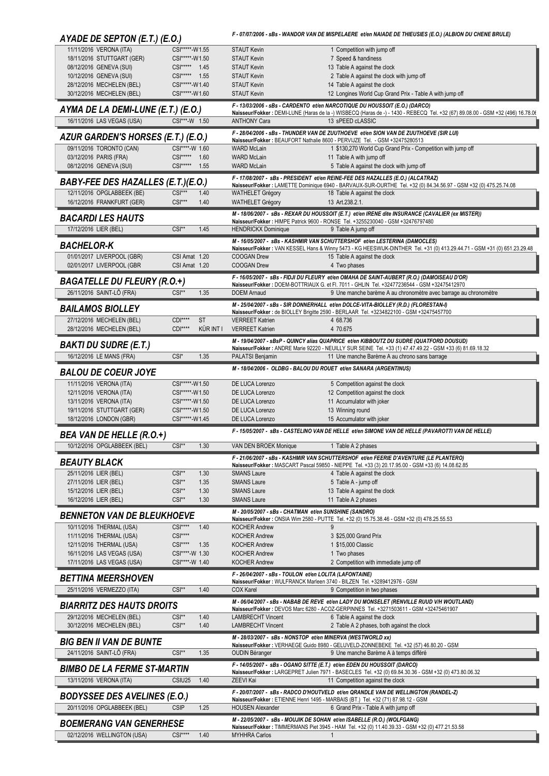| AYADE DE SEPTON (E.T.) (E.O.)                                    |                                         |              |                                                             | F - 07/07/2006 - sBs - WANDOR VAN DE MISPELAERE et/en NAIADE DE THIEUSIES (E.O.) (ALBION DU CHENE BRULE)                                                                                                                            |
|------------------------------------------------------------------|-----------------------------------------|--------------|-------------------------------------------------------------|-------------------------------------------------------------------------------------------------------------------------------------------------------------------------------------------------------------------------------------|
| 11/11/2016 VERONA (ITA)                                          | CSI*****-W1.55                          |              | <b>STAUT Kevin</b>                                          | 1 Competition with jump off                                                                                                                                                                                                         |
| 18/11/2016 STUTTGART (GER)<br>08/12/2016 GENEVA (SUI)            | CSI*****-W1.50<br>CSI***** 1.45         |              | <b>STAUT Kevin</b><br><b>STAUT Kevin</b>                    | 7 Speed & handiness<br>13 Table A against the clock                                                                                                                                                                                 |
| 10/12/2016 GENEVA (SUI)                                          | CSI***** 1.55                           |              | <b>STAUT Kevin</b>                                          | 2 Table A against the clock with jump off                                                                                                                                                                                           |
| 28/12/2016 MECHELEN (BEL)                                        | CSI*****-W1.40                          |              | <b>STAUT Kevin</b>                                          | 14 Table A against the clock                                                                                                                                                                                                        |
| 30/12/2016 MECHELEN (BEL)                                        | CSI*****-W1.60                          |              | <b>STAUT Kevin</b>                                          | 12 Longines World Cup Grand Prix - Table A with jump off                                                                                                                                                                            |
| AYMA DE LA DEMI-LUNE (E.T.) (E.O.)<br>16/11/2016 LAS VEGAS (USA) | CSI***-W 1.50                           |              | <b>ANTHONY Cara</b>                                         | F - 13/03/2006 - sBs - CARDENTO et/en NARCOTIQUE DU HOUSSOIT (E.O.) (DARCO)<br>Naisseur/Fokker : DEMI-LUNE (Haras de la -) WISBECQ (Haras de -) - 1430 - REBECQ Tel. +32 (67) 89.08.00 - GSM +32 (496) 16.78.00<br>13 sPEED cLASSIC |
|                                                                  |                                         |              |                                                             | F - 28/04/2006 - sBs - THUNDER VAN DE ZUUTHOEVE et/en SION VAN DE ZUUTHOEVE (SIR LUI)                                                                                                                                               |
| AZUR GARDEN'S HORSES (E.T.) (E.O.)                               |                                         |              |                                                             | Naisseur/Fokker: BEAUFORT Nathalie 8600 - PERVIJZE Tel. - GSM +32475280513                                                                                                                                                          |
| 09/11/2016 TORONTO (CAN)                                         | CSI****-W 1.60<br>$CS$ <sup>*****</sup> | 1.60         | <b>WARD McLain</b><br><b>WARD McLain</b>                    | 1 \$130,270 World Cup Grand Prix - Competition with jump off                                                                                                                                                                        |
| 03/12/2016 PARIS (FRA)<br>08/12/2016 GENEVA (SUI)                | CSI***** 1.55                           |              | <b>WARD McLain</b>                                          | 11 Table A with jump off<br>5 Table A against the clock with jump off                                                                                                                                                               |
|                                                                  |                                         |              |                                                             | F - 17/08/2007 - sBs - PRESIDENT et/en REINE-FEE DES HAZALLES (E.O.) (ALCATRAZ)                                                                                                                                                     |
| <b>BABY-FEE DES HAZALLES (E.T.)(E.O.)</b>                        | $CSI***$                                |              |                                                             | Naisseur/Fokker : LAMETTE Dominique 6940 - BARVAUX-SUR-OURTHE Tel. +32 (0) 84.34.56.97 - GSM +32 (0) 475.25.74.08                                                                                                                   |
| 12/11/2016 OPGLABBEEK (BE)<br>16/12/2016 FRANKFURT (GER)         | $CSI***$                                | 1.40<br>1.40 | <b>WATHELET Grégory</b><br><b>WATHELET Grégory</b>          | 18 Table A against the clock<br>13 Art.238.2.1.                                                                                                                                                                                     |
| <b>BACARDILES HAUTS</b>                                          |                                         |              |                                                             | M - 18/06/2007 - sBs - REXAR DU HOUSSOIT (E.T.) et/en IRENE dite INSURANCE (CAVALIER (ex MISTER))                                                                                                                                   |
| 17/12/2016 LIER (BEL)                                            | $CSI**$                                 | 1.45         | <b>HENDRICKX Dominique</b>                                  | Naisseur/Fokker: HIMPE Patrick 9600 - RONSE Tel. +3255230040 - GSM +32476797480<br>9 Table A jump off                                                                                                                               |
|                                                                  |                                         |              |                                                             | M - 16/05/2007 - sBs - KASHMIR VAN SCHUTTERSHOF et/en LESTERINA (DAMOCLES)                                                                                                                                                          |
| <b>BACHELOR-K</b>                                                |                                         |              |                                                             | Naisseur/Fokker: VAN KESSEL Hans & Winny 5473 - KG HEESWIJK-DINTHER Tel. +31 (0) 413.29.44.71 - GSM +31 (0) 651.23.29.48                                                                                                            |
| 01/01/2017 LIVERPOOL (GBR)<br>02/01/2017 LIVERPOOL (GBR          | CSI Amat 1.20<br>CSI Amat 1.20          |              | <b>COOGAN Drew</b><br><b>COOGAN Drew</b>                    | 15 Table A against the clock<br>4 Two phases                                                                                                                                                                                        |
|                                                                  |                                         |              |                                                             | F - 16/05/2007 - sBs - FIDJI DU FLEURY et/en OMAHA DE SAINT-AUBERT (R.O.) (DAMOISEAU D'OR)                                                                                                                                          |
| <b>BAGATELLE DU FLEURY (R.O.+)</b>                               |                                         |              |                                                             | Naisseur/Fokker: DOEM-BOTTRIAUX G. et Fl. 7011 - GHLIN Tel. +32477236544 - GSM +32475412970                                                                                                                                         |
| 26/11/2016 SAINT-LÔ (FRA)                                        | $CSI**$                                 | 1.35         | <b>DOEM Arnaud</b>                                          | 9 Une manche barème A au chronomètre avec barrage au chronomètre                                                                                                                                                                    |
| <b>BAILAMOS BIOLLEY</b>                                          |                                         |              |                                                             | M - 25/04/2007 - sBs - SIR DONNERHALL et/en DOLCE-VITA-BIOLLEY (R.D.) (FLORESTAN-I)<br>Naisseur/Fokker : de BIOLLEY Brigitte 2590 - BERLAAR Tel. +3234822100 - GSM +32475457700                                                     |
| 27/12/2016 MECHELEN (BEL)                                        | $CDI***$                                | <b>ST</b>    | <b>VERREET Katrien</b>                                      | 4 68.736                                                                                                                                                                                                                            |
| 28/12/2016 MECHELEN (BEL)                                        | $CDI***$                                | KÜR INT I    | <b>VERREET Katrien</b>                                      | 4 70.675                                                                                                                                                                                                                            |
| <b>BAKTI DU SUDRE (E.T.)</b>                                     |                                         |              |                                                             | M - 19/04/2007 - sBsP - QUINCY alias QUAPRICE et/en KIBBOUTZ DU SUDRE (QUATFORD DOUSUD)<br>Naisseur/Fokker: ANDRE Marie 92220 - NEUILLY SUR SEINE Tel. +33 (1) 47.47.49.22 - GSM +33 (6) 81.69.18.32                                |
| 16/12/2016 LE MANS (FRA)                                         | CSI <sup>*</sup>                        | 1.35         | PALATSI Benjamin                                            | 11 Une manche Barème A au chrono sans barrage                                                                                                                                                                                       |
| <b>BALOU DE COEUR JOYE</b>                                       |                                         |              |                                                             | M - 18/04/2006 - OLDBG - BALOU DU ROUET et/en SANARA (ARGENTINUS)                                                                                                                                                                   |
| 11/11/2016 VERONA (ITA)                                          | CSI*****-W1.50                          |              | DE LUCA Lorenzo                                             | 5 Competition against the clock                                                                                                                                                                                                     |
| 12/11/2016 VERONA (ITA)                                          | CSI*****-W1.50<br>CSI*****-W1.50        |              | DE LUCA Lorenzo                                             | 12 Competition against the clock                                                                                                                                                                                                    |
| 13/11/2016 VERONA (ITA)<br>19/11/2016 STUTTGART (GER)            | CSI*****-W1.50                          |              | DE LUCA Lorenzo<br>DE LUCA Lorenzo                          | 11 Accumulator with joker<br>13 Winning round                                                                                                                                                                                       |
| 18/12/2016 LONDON (GBR)                                          | CSI*****-W1.45                          |              | DE LUCA Lorenzo                                             | 15 Accumulator with joker                                                                                                                                                                                                           |
| <b>BEA VAN DE HELLE (R.O.+)</b>                                  |                                         |              |                                                             | F-15/05/2007 - sBs - CASTELINO VAN DE HELLE et/en SIMONE VAN DE HELLE (PAVAROTTI VAN DE HELLE)                                                                                                                                      |
| 10/12/2016 OPGLABBEEK (BEL)                                      | $CSI^*$                                 | 1.30         | VAN DEN BROEK Monique                                       | 1 Table A 2 phases                                                                                                                                                                                                                  |
| <b>BEAUTY BLACK</b>                                              |                                         |              |                                                             | F - 21/06/2007 - sBs - KASHMIR VAN SCHUTTERSHOF et/en FEERIE D'AVENTURE (LE PLANTERO)                                                                                                                                               |
| 25/11/2016 LIER (BEL)                                            | $CSI**$                                 | 1.30         | <b>SMANS Laure</b>                                          | Naisseur/Fokker: MASCART Pascal 59850 - NIEPPE Tel. +33 (3) 20.17.95.00 - GSM +33 (6) 14.08.62.85<br>4 Table A against the clock                                                                                                    |
| 27/11/2016 LIER (BEL)                                            | $CSI**$                                 | 1.35         | <b>SMANS Laure</b>                                          | 5 Table A - jump off                                                                                                                                                                                                                |
| 15/12/2016 LIER (BEL)                                            | $CSI**$                                 | 1.30         | <b>SMANS Laure</b>                                          | 13 Table A against the clock                                                                                                                                                                                                        |
| 16/12/2016 LIER (BEL)                                            | CSI**                                   | 1.30         | <b>SMANS Laure</b>                                          | 11 Table A 2 phases                                                                                                                                                                                                                 |
| <b>BENNETON VAN DE BLEUKHOEVE</b>                                |                                         |              | M - 20/05/2007 - sBs - CHATMAN et/en SUNSHINE (SANDRO)      | Naisseur/Fokker: ONSIA Wim 2580 - PUTTE Tel. +32 (0) 15.75.38.46 - GSM +32 (0) 478.25.55.53                                                                                                                                         |
| 10/11/2016 THERMAL (USA)                                         | $CSI***$                                | 1.40         | <b>KOCHER Andrew</b>                                        |                                                                                                                                                                                                                                     |
| 11/11/2016 THERMAL (USA)                                         | CSI****                                 |              | <b>KOCHER Andrew</b>                                        | 3 \$25,000 Grand Prix                                                                                                                                                                                                               |
| 12/11/2016 THERMAL (USA)<br>16/11/2016 LAS VEGAS (USA)           | $CSI***$<br>CSI****-W 1.30              | 1.35         | <b>KOCHER Andrew</b><br><b>KOCHER Andrew</b>                | 1 \$15,000 Classic<br>1 Two phases                                                                                                                                                                                                  |
| 17/11/2016 LAS VEGAS (USA)                                       | CSI****-W 1.40                          |              | <b>KOCHER Andrew</b>                                        | 2 Competition with immediate jump off                                                                                                                                                                                               |
| <b>BETTINA MEERSHOVEN</b>                                        |                                         |              | F - 26/04/2007 - sBs - TOULON et/en LOLITA (LAFONTAINE)     |                                                                                                                                                                                                                                     |
| 25/11/2016 VERMEZZO (ITA)                                        | $CSI**$                                 | 1.40         | <b>COX Karel</b>                                            | Naisseur/Fokker: WULFRANCK Marleen 3740 - BILZEN Tel. +3289412976 - GSM<br>9 Competition in two phases                                                                                                                              |
|                                                                  |                                         |              |                                                             | M - 06/04/2007 - sBs - NABAB DE REVE et/en LADY DU MONSELET (RENVILLE RUUD V/H WOUTLAND)                                                                                                                                            |
| <b>BIARRITZ DES HAUTS DROITS</b>                                 |                                         |              |                                                             | Naisseur/Fokker: DEVOS Marc 6280 - ACOZ-GERPINNES Tel. +3271503611 - GSM +32475461907                                                                                                                                               |
| 29/12/2016 MECHELEN (BEL)<br>30/12/2016 MECHELEN (BEL)           | $CSI**$<br>$CSI**$                      | 1.40<br>1.40 | <b>LAMBRECHT Vincent</b><br><b>LAMBRECHT Vincent</b>        | 6 Table A against the clock<br>2 Table A 2 phases, both against the clock                                                                                                                                                           |
|                                                                  |                                         |              | M - 28/03/2007 - sBs - NONSTOP et/en MINERVA (WESTWORLD xx) |                                                                                                                                                                                                                                     |
| <b>BIG BEN II VAN DE BUNTE</b><br>24/11/2016 SAINT-LÔ (FRA)      | $CSI**$                                 | 1.35         | <b>OUDIN Béranger</b>                                       | Naisseur/Fokker : VERHAEGE Guido 8980 - GELUVELD-ZONNEBEKE Tel. +32 (57) 46.80.20 - GSM<br>9 Une manche Barème A à temps différé                                                                                                    |
|                                                                  |                                         |              |                                                             | F - 14/05/2007 - sBs - OGANO SITTE (E.T.) et/en EDEN DU HOUSSOIT (DARCO)                                                                                                                                                            |
| <b>BIMBO DE LA FERME ST-MARTIN</b>                               |                                         |              |                                                             | Naisseur/Fokker: LARGEPRET Julien 7971 - BASECLES Tel. +32 (0) 69.84.30.36 - GSM +32 (0) 473.80.06.32                                                                                                                               |
| 13/11/2016 VERONA (ITA)                                          | CSIU25                                  | 1.40         | <b>ZEEVI Kai</b>                                            | 11 Competition against the clock                                                                                                                                                                                                    |
| <b>BODYSSEE DES AVELINES (E.O.)</b>                              |                                         |              |                                                             | F - 20/07/2007 - sBs - RADCO D'HOUTVELD et/en QRANDLE VAN DE WELLINGTON (RANDEL-Z)<br>Naisseur/Fokker: ETIENNE Henri 1495 - MARBAIS (BT.) Tel. +32 (71) 87.98.12 - GSM                                                              |
| 20/11/2016 OPGLABBEEK (BEL)                                      | <b>CSIP</b>                             | 1.25         | <b>HOUSEN Alexander</b>                                     | 6 Grand Prix - Table A with jump off                                                                                                                                                                                                |
| <b>BOEMERANG VAN GENERHESE</b>                                   |                                         |              |                                                             | M - 22/05/2007 - sBs - MOUJIK DE SOHAN et/en ISABELLE (R.O.) (WOLFGANG)<br>Naisseur/Fokker: TIMMERMANS Piet 3945 - HAM Tel. +32 (0) 11.40.39.33 - GSM +32 (0) 477.21.53.58                                                          |
| 02/12/2016 WELLINGTON (USA)                                      | $CSI***$                                | 1.40         | <b>MYHHRA Carlos</b>                                        | $\mathbf{1}$                                                                                                                                                                                                                        |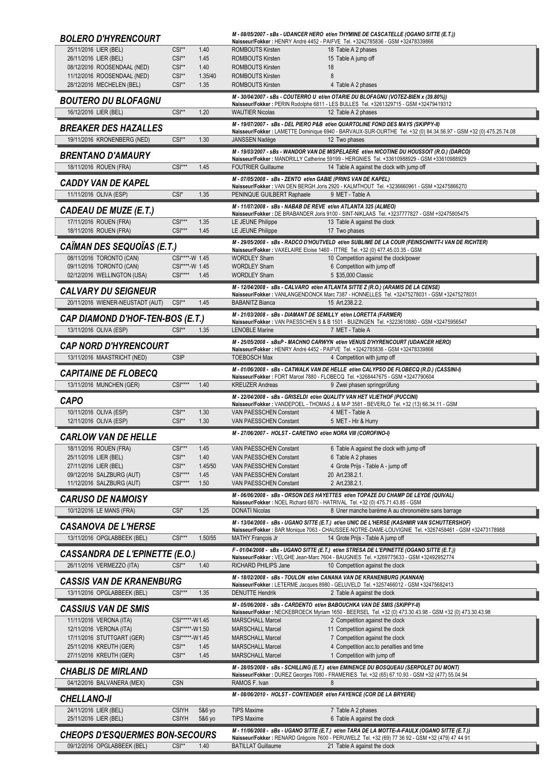| <b>BOLERO D'HYRENCOURT</b>                                |                                  |              |                                                                                            | M - 08/05/2007 - sBs - UDANCER HERO et/en THYMINE DE CASCATELLE (OGANO SITTE (E.T.))<br>Naisseur/Fokker: HENRY André 4452 - PAIFVE Tel. +3242785836 - GSM +32478339866                            |
|-----------------------------------------------------------|----------------------------------|--------------|--------------------------------------------------------------------------------------------|---------------------------------------------------------------------------------------------------------------------------------------------------------------------------------------------------|
| 25/11/2016 LIER (BEL)                                     | $CSI**$                          | 1.40         | <b>ROMBOUTS Kirsten</b>                                                                    | 18 Table A 2 phases                                                                                                                                                                               |
| 26/11/2016 LIER (BEL)<br>08/12/2016 ROOSENDAAL (NED)      | $CSI**$<br>$CSI**$               | 1.45<br>1.40 | <b>ROMBOUTS Kirsten</b><br><b>ROMBOUTS Kirsten</b>                                         | 15 Table A jump off<br>18                                                                                                                                                                         |
| 11/12/2016 ROOSENDAAL (NED)                               | CSI**                            | 1.35/40      | <b>ROMBOUTS Kirsten</b>                                                                    | 8                                                                                                                                                                                                 |
| 28/12/2016 MECHELEN (BEL)                                 | $CSI**$                          | 1.35         | <b>ROMBOUTS Kirsten</b>                                                                    | 4 Table A 2 phases                                                                                                                                                                                |
| <b>BOUTERO DU BLOFAGNU</b>                                |                                  |              |                                                                                            | M - 30/04/2007 - sBs - COUTERRO U et/en OTARIE DU BLOFAGNU (VOTEZ-BIEN x (39.80%))<br>Naisseur/Fokker: PERIN Rodolphe 6811 - LES BULLES Tel. +3261329715 - GSM +32479419312                       |
| 16/12/2016 LIER (BEL)                                     | $CSI**$                          | 1.20         | <b>WAUTIER Nicolas</b>                                                                     | 12 Table A 2 phases                                                                                                                                                                               |
| <b>BREAKER DES HAZALLES</b>                               |                                  |              |                                                                                            | M - 19/07/2007 - sBs - DEL PIERO P&B et/en QUARTOLINE FOND DES MAYS (SKIPPY-II)                                                                                                                   |
| 19/11/2016 KRONENBERG (NED)                               | $CSI**$                          | 1.30         | JANSSEN Nadège                                                                             | Naisseur/Fokker : LAMETTE Dominique 6940 - BARVAUX-SUR-OURTHE Tel. +32 (0) 84.34.56.97 - GSM +32 (0) 475.25.74.08<br>12 Two phases                                                                |
|                                                           |                                  |              |                                                                                            | M - 19/03/2007 - sBs - WANDOR VAN DE MISPELAERE et/en NICOTINE DU HOUSSOIT (R.O.) (DARCO)                                                                                                         |
| <b>BRENTANO D'AMAURY</b>                                  | $CSI***$                         |              |                                                                                            | Naisseur/Fokker: MANDRILLY Catherine 59199 - HERGNIES Tel. +33610988929 - GSM +33610988929                                                                                                        |
| 18/11/2016 ROUEN (FRA)                                    |                                  | 1.45         | <b>FOUTRIER Guillaume</b><br>M - 07/05/2008 - sBs - ZENTO et/en GABIE (PRINS VAN DE KAPEL) | 14 Table A against the clock with jump off                                                                                                                                                        |
| CADDY VAN DE KAPEL                                        |                                  |              |                                                                                            | Naisseur/Fokker: VAN DEN BERGH Joris 2920 - KALMTHOUT Tel. +3236660961 - GSM +32475866270                                                                                                         |
| 11/11/2016 OLIVA (ESP)                                    | $CSI^*$                          | 1.35         | PENINQUE GUILBERT Raphaele                                                                 | 9 MET - Table A                                                                                                                                                                                   |
| <b>CADEAU DE MUZE (E.T.)</b>                              |                                  |              | M - 11/07/2008 - sBs - NABAB DE REVE et/en ATLANTA 325 (ALMEO)                             | Naisseur/Fokker: DE BRABANDER Joris 9100 - SINT-NIKLAAS Tel. +3237777827 - GSM +32475805475                                                                                                       |
| 17/11/2016 ROUEN (FRA)                                    | $CSI***$                         | 1.35         | LE JEUNE Philippe                                                                          | 13 Table A against the clock                                                                                                                                                                      |
| 18/11/2016 ROUEN (FRA)                                    | $CSI***$                         | 1.45         | LE JEUNE Philippe                                                                          | 17 Two phases                                                                                                                                                                                     |
| CAÏMAN DES SEQUOÏAS (E.T.)                                |                                  |              |                                                                                            | M - 29/05/2008 - sBs - RADCO D'HOUTVELD et/en SUBLIME DE LA COUR (FEINSCHNITT-I VAN DE RICHTER)<br>Naisseur/Fokker: VAXELAIRE Eloise 1460 - ITTRE Tel. +32 (0) 477.45.03.35 - GSM                 |
| 08/11/2016 TORONTO (CAN)                                  | CSI****-W 1.45                   |              | <b>WORDLEY Sharn</b>                                                                       | 10 Competition against the clock/power                                                                                                                                                            |
| 09/11/2016 TORONTO (CAN)<br>02/12/2016 WELLINGTON (USA)   | CSI****-W 1.45<br>$CSI***$       | 1.45         | <b>WORDLEY Sharn</b><br><b>WORDLEY Sharn</b>                                               | 6 Competition with jump off<br>5 \$35,000 Classic                                                                                                                                                 |
|                                                           |                                  |              |                                                                                            | M - 12/04/2008 - sBs - CALVARO et/en ATLANTA SITTE Z (R.O.) (ARAMIS DE LA CENSE)                                                                                                                  |
| <b>CALVARY DU SEIGNEUR</b>                                |                                  |              |                                                                                            | Naisseur/Fokker: VANLANGENDONCK Marc 7387 - HONNELLES Tel. +32475278031 - GSM +32475278031                                                                                                        |
| 20/11/2016 WIENER-NEUSTADT (AUT)                          | $CSI**$                          | 1.45         | <b>BABANITZ Bianca</b>                                                                     | 15 Art.238.2.2.                                                                                                                                                                                   |
| <b>CAP DIAMOND D'HOF-TEN-BOS (E.T.)</b>                   |                                  |              |                                                                                            | M - 21/03/2008 - sBs - DIAMANT DE SEMILLY et/en LORETTA (FARMER)<br>Naisseur/Fokker: VAN PAESSCHEN S & B 1501 - BUIZINGEN Tel. +3223610880 - GSM +32475956547                                     |
| 13/11/2016 OLIVA (ESP)                                    | $CSI**$                          | 1.35         | <b>LENOBLE Marine</b>                                                                      | 7 MET - Table A                                                                                                                                                                                   |
| <b>CAP NORD D'HYRENCOURT</b>                              |                                  |              |                                                                                            | M - 25/05/2008 - sBsP - MACHNO CARWYN et/en VENUS D'HYRENCOURT (UDANCER HERO)<br>Naisseur/Fokker: HENRY André 4452 - PAIFVE Tel. +3242785836 - GSM +32478339866                                   |
| 13/11/2016 MAASTRICHT (NED)                               | <b>CSIP</b>                      |              | <b>TOEBOSCH Max</b>                                                                        | 4 Competition with jump off                                                                                                                                                                       |
| <b>CAPITAINE DE FLOBECQ</b>                               |                                  |              |                                                                                            | M - 01/06/2008 - sBs - CATWALK VAN DE HELLE et/en CALYPSO DE FLOBECQ (R.D.) (CASSINI-I)                                                                                                           |
| 13/11/2016 MUNCHEN (GER)                                  | $CSI***$                         | 1.40         | <b>KREUZER Andreas</b>                                                                     | Naisseur/Fokker: FORT Marcel 7880 - FLOBECQ Tel. +3268447675 - GSM +3247790604<br>9 Zwei phasen springprüfung                                                                                     |
|                                                           |                                  |              |                                                                                            |                                                                                                                                                                                                   |
|                                                           |                                  |              |                                                                                            | M - 22/04/2008 - sBs - GRISELDI et/en QUALITY VAN HET VLIETHOF (PUCCINI)                                                                                                                          |
| <b>CAPO</b><br>10/11/2016 OLIVA (ESP)                     | $CSI**$                          | 1.30         | VAN PAESSCHEN Constant                                                                     | Naisseur/Fokker : VANDEPOEL - THOMAS J. & M-P 3581 - BEVERLO Tel. +32 (13) 66.34.11 - GSM<br>4 MET - Table A                                                                                      |
| 12/11/2016 OLIVA (ESP)                                    | $CSI**$                          | 1.30         | <b>VAN PAESSCHEN Constant</b>                                                              | 5 MET - Hir & Hurry                                                                                                                                                                               |
| <b>CARLOW VAN DE HELLE</b>                                |                                  |              | M - 27/06/2007 - HOLST - CARETINO et/en NORA VIII (COROFINO-I)                             |                                                                                                                                                                                                   |
| 18/11/2016 ROUEN (FRA)                                    | $CSI***$                         | 1.45         | VAN PAESSCHEN Constant                                                                     | 6 Table A against the clock with jump off                                                                                                                                                         |
| 25/11/2016 LIER (BEL)                                     | $CSI**$                          | 1.40         | <b>VAN PAESSCHEN Constant</b>                                                              | 6 Table A 2 phases                                                                                                                                                                                |
| 27/11/2016 LIER (BEL)                                     | $CSI**$<br>$CSI***$              | 1.45/50      | VAN PAESSCHEN Constant                                                                     | 4 Grote Prijs - Table A - jump off                                                                                                                                                                |
| 09/12/2016 SALZBURG (AUT)<br>11/12/2016 SALZBURG (AUT)    | $CSI***$                         | 1.45<br>1.50 | VAN PAESSCHEN Constant<br>VAN PAESSCHEN Constant                                           | 20 Art.238.2.1.<br>2 Art.238.2.1.                                                                                                                                                                 |
| <b>CARUSO DE NAMOISY</b>                                  |                                  |              |                                                                                            | M - 06/06/2008 - sBs - ORSON DES HAYETTES et/en TOPAZE DU CHAMP DE LEYDE (QUIVAL)                                                                                                                 |
| 10/12/2016 LE MANS (FRA)                                  | CSI*                             | 1.25         | <b>DONATI Nicolas</b>                                                                      | Naisseur/Fokker: NOEL Richard 6870 - HATRIVAL Tel. +32 (0) 475.71.43.85 - GSM<br>8 Uner manche barème A au chronomètre sans barrage                                                               |
|                                                           |                                  |              |                                                                                            | M - 13/04/2008 - sBs - UGANO SITTE (E.T.) et/en UNIC DE L'HERSE (KASHMIR VAN SCHUTTERSHOF)                                                                                                        |
| <b>CASANOVA DE L'HERSE</b><br>13/11/2016 OPGLABBEEK (BEL) | $CSI***$                         | 1.50/55      | <b>MATHY François Jr</b>                                                                   | Naisseur/Fokker: BAR Monique 7063 - CHAUSSEE-NOTRE-DAME-LOUVIGNIE Tel. +3267458461 - GSM +32473178988<br>14 Grote Prijs - Table A jump off                                                        |
|                                                           |                                  |              |                                                                                            | F - 01/04/2008 - sBs - UGANO SITTE (E.T.) et/en STRESA DE L'EPINETTE (OGANO SITTE (E.T.))                                                                                                         |
| <b>CASSANDRA DE L'EPINETTE (E.O.)</b>                     |                                  |              |                                                                                            | Naisseur/Fokker: VELGHE Jean-Marc 7604 - BAUGNIES Tel. +3269775633 - GSM +32492952774                                                                                                             |
| 26/11/2016 VERMEZZO (ITA)                                 | CSI**                            | 1.40         | RICHARD PHILIPS Jane                                                                       | 10 Competition against the clock<br>M - 18/02/2008 - sBs - TOULON et/en CANANA VAN DE KRANENBURG (KANNAN)                                                                                         |
| <b>CASSIS VAN DE KRANENBURG</b>                           |                                  |              |                                                                                            | Naisseur/Fokker: LETERME Jacques 8980 - GELUVELD Tel. +3257466012 - GSM +32475682413                                                                                                              |
| 13/11/2016 OPGLABBEEK (BEL)                               | $CSI***$                         | 1.35         | <b>DENUTTE Hendrik</b>                                                                     | 2 Table A against the clock                                                                                                                                                                       |
| <b>CASSIUS VAN DE SMIS</b>                                |                                  |              |                                                                                            | M - 05/06/2008 - sBs - CARDENTO et/en BABOUCHKA VAN DE SMIS (SKIPPY-II)<br>Naisseur/Fokker: NECKEBROECK Myriam 1650 - BEERSEL Tel. +32 (0) 473.30.43.98 - GSM +32 (0) 473.30.43.98                |
| 11/11/2016 VERONA (ITA)                                   | CSI*****-W1.45                   |              | <b>MARSCHALL Marcel</b>                                                                    | 2 Competition against the clock                                                                                                                                                                   |
| 12/11/2016 VERONA (ITA)<br>17/11/2016 STUTTGART (GER)     | CSI*****-W1.50<br>CSI*****-W1.45 |              | <b>MARSCHALL Marcel</b><br><b>MARSCHALL Marcel</b>                                         | 11 Competition against the clock<br>7 Competition against the clock                                                                                                                               |
| 25/11/2016 KREUTH (GER)                                   | CSI**                            | 1.45         | <b>MARSCHALL Marcel</b>                                                                    | 4 Competition acc.to penalties and time                                                                                                                                                           |
| 27/11/2016 KREUTH (GER)                                   | CSI**                            | 1.45         | <b>MARSCHALL Marcel</b>                                                                    | 1 Competition with jump off                                                                                                                                                                       |
| <b>CHABLIS DE MIRLAND</b>                                 |                                  |              |                                                                                            | M-28/05/2008 - sBs - SCHILLING (E.T.) et/en EMINENCE DU BOSQUEAU (SERPOLET DU MONT)<br>Naisseur/Fokker: DUREZ Georges 7080 - FRAMERIES Tel. +32 (65) 67.10.93 - GSM +32 (477) 55.04.94            |
| 04/12/2016 BALVANERA (MEX)                                | <b>CSN</b>                       |              | RAMOS F. Ivan                                                                              | 8                                                                                                                                                                                                 |
| <b>CHELLANO-II</b>                                        |                                  |              |                                                                                            | M - 08/06/2010 - HOLST - CONTENDER et/en FAYENCE (COR DE LA BRYERE)                                                                                                                               |
| 24/11/2016 LIER (BEL)                                     | <b>CSIYH</b>                     | 5&6 yo       | <b>TIPS Maxime</b>                                                                         | 7 Table A 2 phases                                                                                                                                                                                |
| 25/11/2016 LIER (BEL)                                     | <b>CSIYH</b>                     | 5&6 yo       | <b>TIPS Maxime</b>                                                                         | 6 Table A against the clock                                                                                                                                                                       |
| <b>CHEOPS D'ESQUERMES BON-SECOURS</b>                     |                                  |              |                                                                                            | M - 11/06/2008 - sBs - UGANO SITTE (E.T.) et/en TARA DE LA MOTTE-A-FAULX (OGANO SITTE (E.T.))<br>Naisseur/Fokker: RENARD Grégoire 7600 - PERUWELZ Tel. +32 (69) 77 36 92 - GSM +32 (479) 47 44 91 |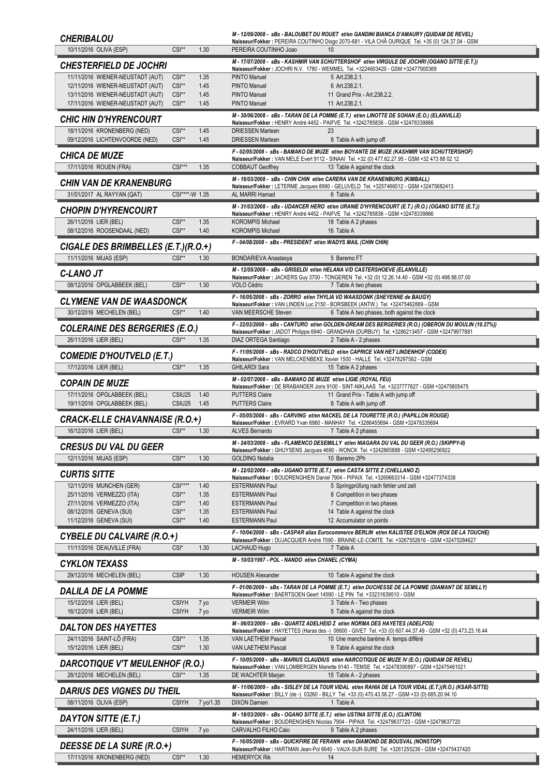| <b>CHERIBALOU</b>                                                                          |                  | M-12/09/2008 - sBs - BALOUBET DU ROUET et/en GANDINI BIANCA D'AMAURY (QUIDAM DE REVEL)<br>Naisseur/Fokker : PEREIRA COUTINHO Diogo 2070-681 - VILA CHÃ OURIQUE Tel. +35 (0) 124.37.04 - GSM               |
|--------------------------------------------------------------------------------------------|------------------|-----------------------------------------------------------------------------------------------------------------------------------------------------------------------------------------------------------|
| $CSI**$<br>10/11/2016 OLIVA (ESP)                                                          | 1.30             | PEREIRA COUTINHO Joao<br>10                                                                                                                                                                               |
| <b>CHESTERFIELD DE JOCHRI</b>                                                              |                  | M-17/07/2008 - sBs - KASHMIR VAN SCHUTTERSHOF et/en VIRGULE DE JOCHRI (OGANO SITTE (E.T.))<br>Naisseur/Fokker: JOCHRI N.V. 1780 - WEMMEL Tel. +3224603420 - GSM +32477900369                              |
| 11/11/2016 WIENER-NEUSTADT (AUT)<br>$CSI**$                                                | 1.35             | <b>PINTO Manuel</b><br>5 Art.238.2.1.                                                                                                                                                                     |
| 12/11/2016 WIENER-NEUSTADT (AUT)<br>$CSI**$<br>13/11/2016 WIENER-NEUSTADT (AUT)<br>$CSI**$ | 1.45<br>1.45     | <b>PINTO Manuel</b><br>6 Art.238.2.1.<br><b>PINTO Manuel</b><br>11 Grand Prix - Art. 238. 2. 2.                                                                                                           |
| 17/11/2016 WIENER-NEUSTADT (AUT)<br>$CSI**$                                                | 1.45             | <b>PINTO Manuel</b><br>11 Art.238.2.1.                                                                                                                                                                    |
| <b>CHIC HIN D'HYRENCOURT</b>                                                               |                  | M - 30/06/2008 - sBs - TARAN DE LA POMME (E.T.) et/en LINOTTE DE SOHAN (E.O.) (ELANVILLE)                                                                                                                 |
| 18/11/2016 KRONENBERG (NED)<br>$CSI**$                                                     | 1.45             | Naisseur/Fokker: HENRY André 4452 - PAIFVE Tel. +3242785836 - GSM +32478339866<br><b>DRIESSEN Marteen</b><br>23                                                                                           |
| 09/12/2016 LICHTENVOORDE (NED)<br>$CSI**$                                                  | 1.45             | <b>DRIESSEN Marteen</b><br>8 Table A with jump off                                                                                                                                                        |
| <b>CHICA DE MUZE</b>                                                                       |                  | F - 02/05/2008 - sBs - BAMAKO DE MUZE et/en BOYANTE DE MUZE (KASHMIR VAN SCHUTTERSHOF)<br>Naisseur/Fokker: VAN MELE Evert 9112 - SINAAI Tel. +32 (0) 477.62.27.95 - GSM +32 473 88 02 12                  |
| 17/11/2016 ROUEN (FRA)<br>$CSI***$                                                         | 1.35             | <b>COBBAUT Geoffrey</b><br>13 Table A against the clock                                                                                                                                                   |
| <b>CHIN VAN DE KRANENBURG</b>                                                              |                  | M - 16/03/2008 - sBs - CHIN CHIN et/en CARERA VAN DE KRANENBURG (KIMBALL)<br>Naisseur/Fokker: LETERME Jacques 8980 - GELUVELD Tel. +3257466012 - GSM +32475682413                                         |
| 31/01/2017 AL RAYYAN (QAT)                                                                 | CSI****-W 1.35   | AL MARRI Hamad<br>6 Table A                                                                                                                                                                               |
| <b>CHOPIN D'HYRENCOURT</b>                                                                 |                  | M-31/03/2008 - sBs - UDANCER HERO et/en URANIE D'HYRENCOURT (E.T.) (R.O.) (OGANO SITTE (E.T.))<br>Naisseur/Fokker: HENRY André 4452 - PAIFVE Tel. +3242785836 - GSM +32478339866                          |
| 26/11/2016 LIER (BEL)<br>$CSI**$                                                           | 1.35             | <b>KOROMPIS Michael</b><br>18 Table A 2 phases                                                                                                                                                            |
| 08/12/2016 ROOSENDAAL (NED)<br>$CSI**$                                                     | 1.40             | 16 Table A<br><b>KOROMPIS Michael</b>                                                                                                                                                                     |
| CIGALE DES BRIMBELLES (E.T.)(R.O.+)                                                        |                  | F - 04/08/2008 - sBs - PRESIDENT et/en WADYS MAIL (CHIN CHIN)                                                                                                                                             |
| $CSI**$<br>11/11/2016 MIJAS (ESP)                                                          | 1.30             | <b>BONDARIEVA Anastasya</b><br>5 Baremo FT                                                                                                                                                                |
| <b>C-LANO JT</b>                                                                           |                  | M - 12/05/2008 - sBs - GRISELDI et/en HELANA V/D CASTERSHOEVE (ELANVILLE)<br>Naisseur/Fokker: JACKERS Guy 3700 - TONGEREN Tel. +32 (0) 12.26.14.40 - GSM +32 (0) 498.88.07.00                             |
| 08/12/2016 OPGLABBEEK (BEL)<br>$CSI**$                                                     | 1.30             | <b>VOLO Cédric</b><br>7 Table A two phases                                                                                                                                                                |
| <b>CLYMENE VAN DE WAASDONCK</b>                                                            |                  | F - 16/05/2008 - sBs - ZORRO et/en THYLIA VD WAASDONK (SHEYENNE de BAUGY)<br>Naisseur/Fokker: VAN LINDEN Luc 2150 - BORSBEEK (ANTW.) Tel. +32475462889 - GSM                                              |
| 30/12/2016 MECHELEN (BEL)<br>$CSI**$                                                       | 1.40             | VAN MEERSCHE Steven<br>6 Table A two phases, both against the clock                                                                                                                                       |
| <b>COLERAINE DES BERGERIES (E.O.)</b>                                                      |                  | F - 22/03/2008 - sBs - CANTURO et/en GOLDEN-DREAM DES BERGERIES (R.O.) (OBERON DU MOULIN (10.27%))                                                                                                        |
| 26/11/2016 LIER (BEL)<br>$CSI**$                                                           | 1.35             | Naisseur/Fokker: JADOT Philippe 6940 - GRANDHAN (DURBUY) Tel. +3286213457 - GSM +32479977881<br>DIAZ ORTEGA Santiago<br>2 Table A - 2 phases                                                              |
| <b>COMEDIE D'HOUTVELD (E.T.)</b>                                                           |                  | F-11/05/2008 - sBs - RADCO D'HOUTVELD et/en CAPRICE VAN HET LINDENHOF (CODEX)                                                                                                                             |
| 17/12/2016 LIER (BEL)<br>$CSI**$                                                           | 1.35             | Naisseur/Fokker: VAN MELCKENBEKE Xavier 1500 - HALLE Tel. +32478297582 - GSM<br><b>GHILARDI Sara</b><br>15 Table A 2 phases                                                                               |
|                                                                                            |                  | M - 02/07/2008 - sBs - BAMAKO DE MUZE et/en LIGIE (ROYAL FEU)                                                                                                                                             |
| <b>COPAIN DE MUZE</b><br>17/11/2016 OPGLABBEEK (BEL)                                       | CSIU25<br>1.40   | Naisseur/Fokker: DE BRABANDER Joris 9100 - SINT-NIKLAAS Tel. +3237777827 - GSM +32475805475<br><b>PUTTERS Claire</b><br>11 Grand Prix - Table A with jump off                                             |
| 19/11/2016 OPGLABBEEK (BEL)                                                                | CSIU25<br>1.45   | <b>PUTTERS Claire</b><br>8 Table A with jump off                                                                                                                                                          |
| CRACK-ELLE CHAVANNAISE (R.O.+)                                                             |                  | F - 05/05/2008 - sBs - CARVING et/en NACKEL DE LA TOURETTE (R.O.) (PAPILLON ROUGE)<br>Naisseur/Fokker: EVRARD Yvan 6960 - MANHAY Tel. +3286455694 - GSM +32478335694                                      |
| 16/12/2016 LIER (BEL)<br>$CSI**$                                                           | 1.30             | ALVES Bernardo<br>7 Table A 2 phases                                                                                                                                                                      |
| <b>CRESUS DU VAL DU GEER</b>                                                               |                  | M - 24/03/2008 - sBs - FLAMENCO DESEMILLY et/en NIAGARA DU VAL DU GEER (R.O.) (SKIPPY-II)                                                                                                                 |
| 12/11/2016 MIJAS (ESP)<br>$CSI**$                                                          | 1.30             | Naisseur/Fokker: GHUYSENS Jacques 4690 - WONCK Tel. +3242865888 - GSM +32495256922<br>10 Baremo 2Ph<br><b>GOLDING Natalia</b>                                                                             |
| <b>CURTIS SITTE</b>                                                                        |                  | M - 22/02/2008 - sBs - UGANO SITTE (E.T.) et/en CASTA SITTE Z (CHELLANO Z)                                                                                                                                |
| 12/11/2016 MUNCHEN (GER)                                                                   | $CSI***$<br>1.40 | Naisseur/Fokker: BOUDRENGHIEN Daniel 7904 - PIPAIX Tel. +3269663314 - GSM +32477374338<br><b>ESTERMANN Paul</b><br>5 Springprüfung nach fehler und zeit                                                   |
| 25/11/2016 VERMEZZO (ITA)<br>CSI**                                                         | 1.35             | <b>ESTERMANN Paul</b><br>8 Competition in two phases                                                                                                                                                      |
| 27/11/2016 VERMEZZO (ITA)<br>CSI**<br>$CSI**$<br>08/12/2016 GENEVA (SUI)                   | 1.40<br>1.35     | 7 Competition in two phases<br><b>ESTERMANN Paul</b><br>14 Table A against the clock<br>ESTERMANN Paul                                                                                                    |
| $CSI**$<br>11/12/2016 GENEVA (SUI)                                                         | 1.40             | <b>ESTERMANN Paul</b><br>12 Accumulator on points                                                                                                                                                         |
| CYBELE DU CALVAIRE (R.O.+)                                                                 |                  | F - 10/04/2008 - sBs - CASPAR alias Eurocommerce BERLIN et/en KALISTEE D'ELNON (ROX DE LA TOUCHE)<br>Naisseur/Fokker: DUJACQUIER André 7090 - BRAINE-LE-COMTE Tel. +3267552616 - GSM +32475284627         |
| 11/11/2016 DEAUVILLE (FRA)<br>$CSI^*$                                                      | 1.30             | LACHAUD Hugo<br>7 Table A                                                                                                                                                                                 |
| <b>CYKLON TEXASS</b>                                                                       |                  | M - 10/03/1997 - POL - NANDO et/en CHANEL (CYMA)                                                                                                                                                          |
| <b>CSIP</b><br>29/12/2016 MECHELEN (BEL)                                                   | 1.30             | <b>HOUSEN Alexander</b><br>10 Table A against the clock                                                                                                                                                   |
| <b>DALILA DE LA POMME</b>                                                                  |                  | F - 01/06/2009 - sBs - TARAN DE LA POMME (E.T.) et/en DUCHESSE DE LA POMME (DIAMANT DE SEMILLY)                                                                                                           |
| <b>CSIYH</b><br>15/12/2016 LIER (BEL)                                                      | 7 yo             | Naisseur/Fokker: BAERTSOEN Geert 14590 - LE PIN Tel. +33231639510 - GSM<br><b>VERMEIR Wilm</b><br>3 Table A - Two phases                                                                                  |
| 16/12/2016 LIER (BEL)<br><b>CSIYH</b>                                                      | 7 yo             | <b>VERMEIR Wilm</b><br>5 Table A against the clock                                                                                                                                                        |
| <b>DALTON DES HAYETTES</b>                                                                 |                  | M - 06/03/2009 - sBs - QUARTZ ADELHEID Z et/en NORMA DES HAYETES (ADELFOS)<br>Naisseur/Fokker: HAYETTES (Haras des -) 08600 - GIVET Tel. +33 (0) 607.44.37.49 - GSM +32 (0) 473.23.16.44                  |
| 24/11/2016 SAINT-LÔ (FRA)<br>$CSI**$                                                       | 1.35             | <b>VAN LAETHEM Pascal</b><br>10 Une manche barème A temps différé                                                                                                                                         |
| 15/12/2016 LIER (BEL)<br>$CSI**$                                                           | 1.30             | <b>VAN LAETHEM Pascal</b><br>9 Table A against the clock<br>F - 10/05/2009 - sBs - MARIUS CLAUDIUS et/en NARCOTIQUE DE MUZE IV (E.O.) (QUIDAM DE REVEL)                                                   |
| <b>DARCOTIQUE V'T MEULENHOF (R.O.)</b>                                                     |                  | Naisseur/Fokker: VAN LOMBERGEN Mariette 9140 - TEMSE Tel. +32478390897 - GSM +32475461021                                                                                                                 |
| 28/12/2016 MECHELEN (BEL)<br>$CSI**$                                                       | 1.35             | DE WACHTER Marjan<br>15 Table A - 2 phases                                                                                                                                                                |
| <b>DARIUS DES VIGNES DU THEIL</b>                                                          |                  | M - 11/06/2009 - sBs - SISLEY DE LA TOUR VIDAL et/en RAHIA DE LA TOUR VIDAL (E.T.)(R.O.) (KSAR-SITTE)<br>Naisseur/Fokker: BILLY (de -) 03260 - BILLY Tel. +33 (0) 470.43.56.27 - GSM +33 (0) 685.20.94.10 |
| 08/11/2016 OLIVA (ESP)<br><b>CSIYH</b>                                                     | 7 yo/1.35        | <b>DIXON Damien</b><br>1 Table A                                                                                                                                                                          |
| DAYTON SITTE (E.T.)                                                                        |                  | M - 18/03/2009 - sBs - OGANO SITTE (E.T.) et/en USTINA SITTE (E.O.) (CLINTON)<br>Naisseur/Fokker: BOUDRENGHIEN Nicolas 7904 - PIPAIX Tel. +32479637720 - GSM +32479637720                                 |
| 24/11/2016 LIER (BEL)<br><b>CSIYH</b>                                                      | 7 yo             | CARVALHO FILHO Caio<br>9 Table A 2 phases                                                                                                                                                                 |
| DEESSE DE LA SURE (R.O.+)                                                                  |                  | F - 16/05/2009 - sBs - QUICKFIRE DE FERANN et/en DIAMOND DE BOUSVAL (NONSTOP)<br>Naisseur/Fokker: HARTMAN Jean-Pol 6640 - VAUX-SUR-SURE Tel. +3261255236 - GSM +32475437420                               |
| 17/11/2016 KRONENBERG (NED)<br>CSI**                                                       | 1.30             | <b>HEMERYCK Rik</b><br>14                                                                                                                                                                                 |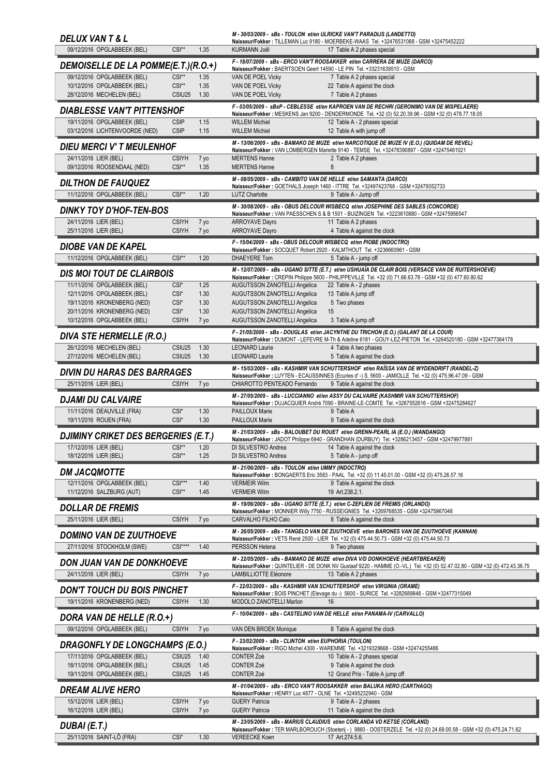| <b>DELUX VANT &amp; L</b>                                           |                              |              | M - 30/03/2009 - sBs - TOULON et/en ULRICKE VAN'T PARADIJS (LANDETTO)                   | Naisseur/Fokker: TILLEMAN Luc 9180 - MOERBEKE-WAAS Tel. +32476531088 - GSM +32475452222                                                                                                                           |
|---------------------------------------------------------------------|------------------------------|--------------|-----------------------------------------------------------------------------------------|-------------------------------------------------------------------------------------------------------------------------------------------------------------------------------------------------------------------|
| 09/12/2016 OPGLABBEEK (BEL)                                         | $CSI**$                      | 1.35         | <b>KURMANN Joël</b>                                                                     | 17 Table A 2 phases special                                                                                                                                                                                       |
| DEMOISELLE DE LA POMME(E.T.)(R.O.+)                                 |                              |              | Naisseur/Fokker: BAERTSOEN Geert 14590 - LE PIN Tel. +33231639510 - GSM                 | F - 18/07/2009 - sBs - ERCO VAN'T ROOSAKKER et/en CARRERA DE MUZE (DARCO)                                                                                                                                         |
| 09/12/2016 OPGLABBEEK (BEL)                                         | $CSI**$                      | 1.35         | VAN DE POEL Vicky                                                                       | 7 Table A 2 phases special                                                                                                                                                                                        |
| 10/12/2016 OPGLABBEEK (BEL)<br>28/12/2016 MECHELEN (BEL)            | $CSI**$<br>CSIU25            | 1.35<br>1.30 | VAN DE POEL Vicky<br>VAN DE POEL Vicky                                                  | 22 Table A against the clock<br>7 Table A 2 phases                                                                                                                                                                |
| <b>DIABLESSE VAN'T PITTENSHOF</b>                                   |                              |              |                                                                                         | F-03/05/2009 - sBsP-CEBLESSE et/en KAPROEN VAN DE RECHRI (GERONIMO VAN DE MISPELAERE)                                                                                                                             |
| 19/11/2016 OPGLABBEEK (BEL)                                         | <b>CSIP</b>                  | 1.15         | <b>WILLEM Michiel</b>                                                                   | Naisseur/Fokker: MESKENS Jan 9200 - DENDERMONDE Tel. +32 (0) 52.20.39.96 - GSM +32 (0) 478.77.18.05<br>12 Table A - 2 phases special                                                                              |
| 03/12/2016 LICHTENVOORDE (NED)                                      | <b>CSIP</b>                  | 1.15         | <b>WILLEM Michiel</b>                                                                   | 12 Table A with jump off                                                                                                                                                                                          |
| <b>DIEU MERCI V' T MEULENHOF</b>                                    |                              |              |                                                                                         | M - 13/06/2009 - sBs - BAMAKO DE MUZE et/en NARCOTIQUE DE MUZE IV (E.O.) (QUIDAM DE REVEL)<br>Naisseur/Fokker: VAN LOMBERGEN Mariette 9140 - TEMSE Tel. +32478390897 - GSM +32475461021                           |
| 24/11/2016 LIER (BEL)<br>09/12/2016 ROOSENDAAL (NED)                | <b>CSIYH</b><br>$CSI**$      | 7 yo<br>1.35 | <b>MERTENS Hanne</b><br><b>MERTENS Hanne</b>                                            | 2 Table A 2 phases<br>8                                                                                                                                                                                           |
| <b>DILTHON DE FAUQUEZ</b>                                           |                              |              | M - 08/05/2009 - sBs - CAMBITO VAN DE HELLE et/en SAMANTA (DARCO)                       |                                                                                                                                                                                                                   |
| 11/12/2016 OPGLABBEEK (BEL)                                         | $CSI**$                      | 1.20         | <b>LUTZ Charlotte</b>                                                                   | Naisseur/Fokker: GOETHALS Joseph 1460 - ITTRE Tel. +32497423768 - GSM +32479352733<br>9 Table A - Jump off                                                                                                        |
| <b>DINKY TOY D'HOF-TEN-BOS</b>                                      |                              |              |                                                                                         | M - 30/08/2009 - sBs - OBUS DELCOUR WISBECQ et/en JOSEPHINE DES SABLES (CONCORDE)                                                                                                                                 |
| 24/11/2016 LIER (BEL)                                               | <b>CSIYH</b>                 | 7 yo         | <b>ARROYAVE Dayro</b>                                                                   | Naisseur/Fokker: VAN PAESSCHEN S & B 1501 - BUIZINGEN Tel. +3223610880 - GSM +32475956547<br>11 Table A 2 phases                                                                                                  |
| 25/11/2016 LIER (BEL)                                               | <b>CSIYH</b>                 | 7 yo         | <b>ARROYAVE Dayro</b>                                                                   | 4 Table A against the clock                                                                                                                                                                                       |
| <b>DIOBE VAN DE KAPEL</b>                                           |                              |              | F - 15/04/2009 - sBs - OBUS DELCOUR WISBECQ et/en PIOBE (INDOCTRO)                      | Naisseur/Fokker: SOCQUET Robert 2920 - KALMTHOUT Tel. +3236660961 - GSM                                                                                                                                           |
| 11/12/2016 OPGLABBEEK (BEL)                                         | $CSI**$                      | 1.20         | <b>DHAEYERE Tom</b>                                                                     | 5 Table A - jump off                                                                                                                                                                                              |
| <b>DIS MOI TOUT DE CLAIRBOIS</b>                                    |                              |              |                                                                                         | M - 12/07/2009 - sBs - UGANO SITTE (E.T.) et/en USHUAÏA DE CLAIR BOIS (VERSACE VAN DE RUITERSHOEVE)<br>Naisseur/Fokker : CREPIN Philippe 5600 - PHILIPPEVILLE Tel. +32 (0) 71.66.63.78 - GSM +32 (0) 477.60.80.62 |
| 11/11/2016 OPGLABBEEK (BEL)                                         | CSI <sup>*</sup>             | 1.25         | AUGUTSSON ZANOTELLI Angelica                                                            | 22 Table A - 2 phases                                                                                                                                                                                             |
| 12/11/2016 OPGLABBEEK (BEL)<br>19/11/2016 KRONENBERG (NED)          | CSI*<br>$CSI^*$              | 1.30<br>1.30 | <b>AUGUTSSON ZANOTELLI Angelica</b><br><b>AUGUTSSON ZANOTELLI Angelica</b>              | 13 Table A jump off<br>5 Two phases                                                                                                                                                                               |
| 20/11/2016 KRONENBERG (NED)                                         | CSI <sup>*</sup>             | 1.30         | <b>AUGUTSSON ZANOTELLI Angelica</b>                                                     | 15                                                                                                                                                                                                                |
| 10/12/2016 OPGLABBEEK (BEL)                                         | <b>CSIYH</b>                 | 7 yo         | AUGUTSSON ZANOTELLI Angelica                                                            | 3 Table A jump off                                                                                                                                                                                                |
| <b>DIVA STE HERMELLE (R.O.)</b>                                     |                              |              |                                                                                         | F - 21/05/2009 - sBs - DOUGLAS et/en JACYNTHE DU TRICHON (E.O.) (GALANT DE LA COUR)<br>Naisseur/Fokker: DUMONT - LEFEVRE M-Th & Adeline 6181 - GOUY-LEZ-PIETON Tel. +3264520180 - GSM +32477364178                |
| 26/12/2016 MECHELEN (BEL)<br>27/12/2016 MECHELEN (BEL)              | CSIU25<br>CSIU25             | 1.30<br>1.30 | <b>LEONARD Laurie</b><br><b>LEONARD Laurie</b>                                          | 4 Table A two phases<br>5 Table A against the clock                                                                                                                                                               |
| <b>DIVIN DU HARAS DES BARRAGES</b>                                  |                              |              |                                                                                         | M-15/03/2009 - sBs - KASHMIR VAN SCHUTTERSHOF et/en RAÏSSA VAN DE WYDENDRIFT (RANDEL-Z)<br>Naisseur/Fokker : LUYTEN - ECAUSSINNES (Ecuries d' -) S. 5600 - JAMIOLLE Tel. +32 (0) 475.96.47.09 - GSM               |
| 25/11/2016 LIER (BEL)                                               | <b>CSIYH</b>                 | 7 yo         | CHIAROTTO PENTEADO Fernando                                                             | 9 Table A against the clock                                                                                                                                                                                       |
|                                                                     |                              |              |                                                                                         |                                                                                                                                                                                                                   |
| <b>DJAMI DU CALVAIRE</b>                                            |                              |              |                                                                                         | M-27/05/2009 - sBs - LUCCIANNO et/en ASSY DU CALVAIRE (KASHMIR VAN SCHUTTERSHOF)                                                                                                                                  |
| 11/11/2016 DEAUVILLE (FRA)<br>19/11/2016 ROUEN (FRA)                | CSI <sup>*</sup><br>$CSI^*$  | 1.30<br>1.30 | PAILLOUX Marie<br><b>PAILLOUX Marie</b>                                                 | Naisseur/Fokker : DUJACQUIER André 7090 - BRAINE-LE-COMTE Tel. +3267552616 - GSM +32475284627<br>9 Table A<br>9 Table A against the clock                                                                         |
|                                                                     |                              |              |                                                                                         | M - 21/03/2009 - sBs - BALOUBET DU ROUET et/en GRENN-PEARL IA (E.O.) (WANDANGO)                                                                                                                                   |
| <b>DJIMINY CRIKET DES BERGERIES (E.T.)</b><br>17/12/2016 LIER (BEL) | $CSI**$                      | 1.20         | DI SILVESTRO Andrea                                                                     | Naisseur/Fokker: JADOT Philippe 6940 - GRANDHAN (DURBUY) Tel. +3286213457 - GSM +32479977881<br>14 Table A against the clock                                                                                      |
| 18/12/2016 LIER (BEL)                                               | $CSI**$                      | 1.25         | DI SILVESTRO Andrea                                                                     | 5 Table A - jump off                                                                                                                                                                                              |
| <b>DM JACQMOTTE</b>                                                 |                              |              | M - 21/06/2009 - sBs - TOULON et/en UMMY (INDOCTRO)                                     |                                                                                                                                                                                                                   |
| 12/11/2016 OPGLABBEEK (BEL)                                         | CSI***                       | 1.40         | <b>VERMEIR Wilm</b>                                                                     | Naisseur/Fokker: BONGAERTS Eric 3583 - PAAL Tel. +32 (0) 11.45.01.00 - GSM +32 (0) 475.26.57.16<br>9 Table A against the clock                                                                                    |
| 11/12/2016 SALZBURG (AUT)                                           | CSI**                        | 1.45         | <b>VERMEIR Wilm</b>                                                                     | 19 Art.238.2.1.                                                                                                                                                                                                   |
| <b>DOLLAR DE FREMIS</b>                                             |                              |              |                                                                                         | M - 19/06/2009 - sBs - UGANO SITTE (E.T.) et/en C-ZEFLIEN DE FREMIS (ORLANDO)<br>Naisseur/Fokker: MONNIER Willy 7750 - RUSSEIGNIES Tel. +3269768535 - GSM +32475967048                                            |
| 25/11/2016 LIER (BEL)                                               | <b>CSIYH</b>                 | 7 yo         | CARVALHO FILHO Caio                                                                     | 8 Table A against the clock                                                                                                                                                                                       |
| <b>DOMINO VAN DE ZUUTHOEVE</b>                                      |                              |              |                                                                                         | M - 26/05/2009 - sBs - TANGELO VAN DE ZUUTHOEVE et/en BARONES VAN DE ZUUTHOEVE (KANNAN)<br>Naisseur/Fokker: VETS René 2500 - LIER Tel. +32 (0) 475.44.50.73 - GSM +32 (0) 475.44.50.73                            |
| 27/11/2016 STOCKHOLM (SWE)                                          | $CSI***$                     | 1.40         | PERSSON Helena                                                                          | 9 Two phases                                                                                                                                                                                                      |
| DON JUAN VAN DE DONKHOEVE                                           |                              |              |                                                                                         | M - 22/05/2009 - sBs - BAMAKO DE MUZE et/en DIVA V/D DONKHOEVE (HEARTBREAKER)<br>Naisseur/Fokker: QUINTELIER - DE DONK NV Gustaaf 9220 - HAMME (O.-VL.) Tel. +32 (0) 52.47.02.80 - GSM +32 (0) 472.43.36.75       |
| 24/11/2016 LIER (BEL)                                               | <b>CSIYH</b>                 | 7 yo         | LAMBILLIOTTE Eléonore                                                                   | 13 Table A 2 phases                                                                                                                                                                                               |
| <b>DON'T TOUCH DU BOIS PINCHET</b>                                  |                              |              |                                                                                         | F - 22/03/2009 - sBs - KASHMIR VAN SCHUTTERSHOF et/en VIRGINIA (ORAME)<br>Naisseur/Fokker: BOIS PINCHET (Elevage du -) 5600 - SURICE Tel. +3282689848 - GSM +32477315049                                          |
| 19/11/2016 KRONENBERG (NED)                                         | <b>CSIYH</b>                 | 1.30         | MODOLO ZANOTELLI Marlon                                                                 | 16                                                                                                                                                                                                                |
| DORA VAN DE HELLE (R.O.+)                                           |                              |              |                                                                                         | F - 10/04/2009 - sBs - CASTELINO VAN DE HELLE et/en PANAMA-IV (CARVALLO)                                                                                                                                          |
| 09/12/2016 OPGLABBEEK (BEL)                                         | <b>CSIYH</b>                 | 7 yo         | VAN DEN BROEK Monique                                                                   | 8 Table A against the clock                                                                                                                                                                                       |
| <b>DRAGONFLY DE LONGCHAMPS (E.O.)</b>                               |                              |              | F - 23/02/2009 - sBs - CLINTON et/en EUPHORIA (TOULON)                                  | Naisseur/Fokker: RIGO Michel 4300 - WAREMME Tel. +3219328668 - GSM +32474255486                                                                                                                                   |
| 17/11/2016 OPGLABBEEK (BEL)                                         | CSIU25                       | 1.40         | <b>CONTER Zoé</b>                                                                       | 10 Table A - 2 phases special                                                                                                                                                                                     |
| 18/11/2016 OPGLABBEEK (BEL)<br>19/11/2016 OPGLABBEEK (BEL)          | CSIU <sub>25</sub><br>CSIU25 | 1.45<br>1.45 | <b>CONTER Zoé</b><br><b>CONTER Zoé</b>                                                  | 9 Table A against the clock<br>12 Grand Prix - Table A jump off                                                                                                                                                   |
|                                                                     |                              |              |                                                                                         | M - 01/04/2009 - sBs - ERCO VAN'T ROOSAKKER et/en BALUKA HERO (CARTHAGO)                                                                                                                                          |
| <b>DREAM ALIVE HERO</b><br>15/12/2016 LIER (BEL)                    | <b>CSIYH</b>                 | 7 yo         | Naisseur/Fokker: HENRY Luc 4877 - OLNE Tel. +32495232940 - GSM<br><b>GUERY Patricia</b> | 9 Table A - 2 phases                                                                                                                                                                                              |
| 16/12/2016 LIER (BEL)                                               | <b>CSIYH</b>                 | 7 yo         | <b>GUERY Patricia</b>                                                                   | 11 Table A against the clock                                                                                                                                                                                      |
| DUBAI (E.T.)                                                        |                              |              |                                                                                         | M - 23/05/2009 - sBs - MARIUS CLAUDIUS et/en CORLANDA VD KETSE (CORLAND)<br>Naisseur/Fokker: TER MARLBOROUCH (Stoeterij - ) 9860 - OOSTERZELE Tel. +32 (0) 24.69.00.58 - GSM +32 (0) 475.24.71.62                 |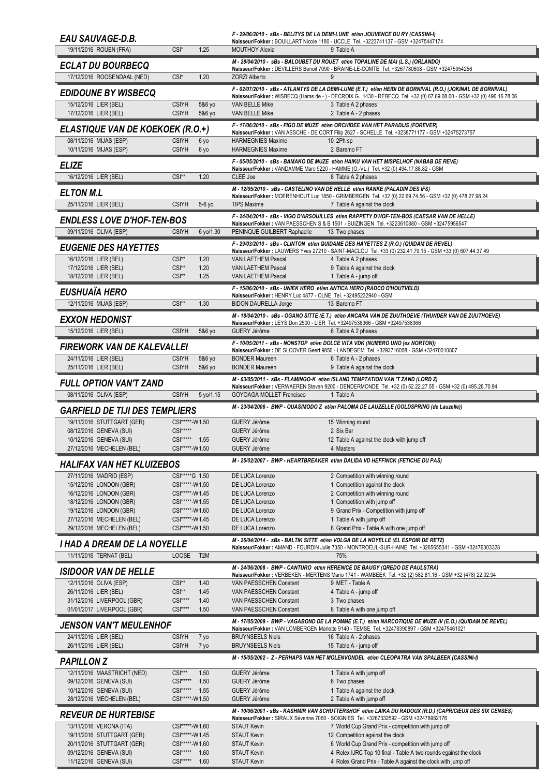| <b>EAU SAUVAGE-D.B.</b>                                  |                                         |                  |                                                                | F - 29/06/2010 - sBs - BELITYS DE LA DEMI-LUNE et/en JOUVENCE DU RY (CASSINI-I)<br>Naisseur/Fokker: BOUILLART Nicole 1180 - UCCLE Tel. +3223741137 - GSM +32475447174                       |
|----------------------------------------------------------|-----------------------------------------|------------------|----------------------------------------------------------------|---------------------------------------------------------------------------------------------------------------------------------------------------------------------------------------------|
| 19/11/2016 ROUEN (FRA)                                   | CSI*                                    | 1.25             | <b>MOUTHOY Alexia</b>                                          | 9 Table A                                                                                                                                                                                   |
| <b>ECLAT DU BOURBECO</b>                                 |                                         |                  |                                                                | M - 28/04/2010 - sBs - BALOUBET DU ROUET et/en TOPALINE DE MAI (L.S.) (ORLANDO)                                                                                                             |
| 17/12/2016 ROOSENDAAL (NED)                              | CSI*                                    | 1.20             | <b>ZORZI Alberto</b>                                           | Naisseur/Fokker : DEVILLERS Benoit 7090 - BRAINE-LE-COMTE Tel. +3267780608 - GSM +32475954256<br>9                                                                                          |
| <b>EDIDOUNE BY WISBECQ</b>                               |                                         |                  |                                                                | F - 02/07/2010 - sBs - ATLANTYS DE LA DEMI-LUNE (E.T.) et/en HEIDI DE BORNIVAL (R.O.) (JOKINAL DE BORNIVAL)                                                                                 |
| 15/12/2016 LIER (BEL)                                    | <b>CSIYH</b>                            | 5&6 yo           | VAN BELLE Mike                                                 | Naisseur/Fokker: WISBECQ (Haras de - ) - DECROIX G. 1430 - REBECQ Tel. +32 (0) 67.89.08.00 - GSM +32 (0) 496.16.78.06<br>3 Table A 2 phases                                                 |
| 17/12/2016 LIER (BEL)                                    | <b>CSIYH</b>                            | 5&6 yo           | VAN BELLE Mike                                                 | 2 Table A - 2 phases                                                                                                                                                                        |
| <b>ELASTIQUE VAN DE KOEKOEK (R.O.+)</b>                  |                                         |                  |                                                                | F - 17/06/2010 - sBs - FIGO DE MUZE et/en ORCHIDEE VAN HET PARADIJS (FOREVER)<br>Naisseur/Fokker : VAN ASSCHE - DE CORT Filip 2627 - SCHELLE Tel. +3238771177 - GSM +32475273757            |
| 08/11/2016 MIJAS (ESP)                                   | <b>CSIYH</b>                            | 6 уо             | <b>HARMEGNIES Maxime</b>                                       | 10 2Ph sp                                                                                                                                                                                   |
| 10/11/2016 MIJAS (ESP)                                   | <b>CSIYH</b>                            | 6 yo             | <b>HARMEGNIES Maxime</b>                                       | 2 Baremo FT                                                                                                                                                                                 |
| <b>ELIZE</b>                                             |                                         |                  |                                                                | F - 05/05/2010 - sBs - BAMAKO DE MUZE et/en HAIKU VAN HET MISPELHOF (NABAB DE REVE)<br>Naisseur/Fokker: VANDAMME Marc 9220 - HAMME (O.-VL.) Tel. +32 (0) 494.17.88.82 - GSM                 |
| 16/12/2016 LIER (BEL)                                    | $CSI**$                                 | 1.20             | CLEE Joe                                                       | 8 Table A 2 phases                                                                                                                                                                          |
| <b>ELTON M.L</b>                                         |                                         |                  |                                                                | M - 12/05/2010 - sBs - CASTELINO VAN DE HELLE et/en RANKE (PALADIN DES IFS)                                                                                                                 |
| 25/11/2016 LIER (BEL)                                    | <b>CSIYH</b>                            | $5-6$ yo         | <b>TIPS Maxime</b>                                             | Naisseur/Fokker: MOERENHOUT Luc 1850 - GRIMBERGEN Tel. +32 (0) 22.69.74.56 - GSM +32 (0) 478.27.98.24<br>7 Table A against the clock                                                        |
| <b>ENDLESS LOVE D'HOF-TEN-BOS</b>                        |                                         |                  |                                                                | F - 24/04/2010 - sBs - VIGO D'ARSOUILLES et/en RAPPETY D'HOF-TEN-BOS (CAESAR VAN DE HELLE)                                                                                                  |
| 09/11/2016 OLIVA (ESP)                                   | <b>CSIYH</b>                            | 6 yo/1.30        | PENINQUE GUILBERT Raphaelle                                    | Naisseur/Fokker: VAN PAESSCHEN S & B 1501 - BUIZINGEN Tel. +3223610880 - GSM +32475956547<br>13 Two phases                                                                                  |
|                                                          |                                         |                  |                                                                | F - 29/03/2010 - sBs - CLINTON et/en QUIDAME DES HAYETTES Z (R.O.) (QUIDAM DE REVEL)                                                                                                        |
| <b>EUGENIE DES HAYETTES</b><br>16/12/2016 LIER (BEL)     | $CSI**$                                 | 1.20             | <b>VAN LAETHEM Pascal</b>                                      | Naisseur/Fokker : LAUWERS Yves 27210 - SAINT-MACLOU Tel. +33 (0) 232.41.79.15 - GSM +33 (0) 607.44.37.49<br>4 Table A 2 phases                                                              |
| 17/12/2016 LIER (BEL)                                    | $CSI**$                                 | 1.20             | VAN LAETHEM Pascal                                             | 9 Table A against the clock                                                                                                                                                                 |
| 18/12/2016 LIER (BEL)                                    | $CSI**$                                 | 1.25             | <b>VAN LAETHEM Pascal</b>                                      | 1 Table A - jump off                                                                                                                                                                        |
| <b>EUSHUAÏA HERO</b>                                     |                                         |                  | Naisseur/Fokker: HENRY Luc 4877 - OLNE Tel. +32495232940 - GSM | F - 15/06/2010 - sBs - UNIEK HERO et/en ANTICA HERO (RADCO D'HOUTVELD)                                                                                                                      |
| 12/11/2016 MIJAS (ESP)                                   | $CSI**$                                 | 1.30             | <b>BIDON DAURELLA Jorge</b>                                    | 13 Baremo FT                                                                                                                                                                                |
| <b>EXXON HEDONIST</b>                                    |                                         |                  |                                                                | M - 18/04/2010 - sBs - OGANO SITTE (E.T.) et/en ANCARA VAN DE ZUUTHOEVE (THUNDER VAN DE ZUUTHOEVE)                                                                                          |
| 15/12/2016 LIER (BEL)                                    | <b>CSIYH</b>                            | 5&6 yo           | GUERY Jérôme                                                   | Naisseur/Fokker: LEYS Don 2500 - LIER Tel. +32497538366 - GSM +32497538366<br>6 Table A 2 phases                                                                                            |
|                                                          |                                         |                  |                                                                | F - 10/05/2011 - sBs - NONSTOP et/en DOLCE VITA VDK (NUMERO UNO (ex NORTON))                                                                                                                |
| FIREWORK VAN DE KALEVALLEI<br>24/11/2016 LIER (BEL)      | <b>CSIYH</b>                            | 5&6 yo           | <b>BONDER Maureen</b>                                          | Naisseur/Fokker: DE SLOOVER Geert 9850 - LANDEGEM Tel. +3293716058 - GSM +32470010807<br>6 Table A - 2 phases                                                                               |
| 25/11/2016 LIER (BEL)                                    | <b>CSIYH</b>                            | 5&6 yo           | <b>BONDER Maureen</b>                                          | 9 Table A against the clock                                                                                                                                                                 |
| <b>FULL OPTION VAN'T ZAND</b>                            |                                         |                  |                                                                | M - 03/05/2011 - sBs - FLAMINGO-K et/en ISLAND TEMPTATION VAN 'T ZAND (LORD Z)                                                                                                              |
| 08/11/2016 OLIVA (ESP)                                   | <b>CSIYH</b>                            | 5 yo/1.15        | GOYOAGA MOLLET Francisco                                       | Naisseur/Fokker: VERWAEREN Steven 9200 - DENDERMONDE Tel. +32 (0) 52.22.27.55 - GSM +32 (0) 495.26.70.94<br>1 Table A                                                                       |
|                                                          |                                         |                  |                                                                |                                                                                                                                                                                             |
|                                                          |                                         |                  |                                                                | M - 23/04/2006 - BWP - QUASIMODO Z et/en PALOMA DE LAUZELLE (GOLDSPRING (de Lauzelle))                                                                                                      |
| <b>GARFIELD DE TIJI DES TEMPLIERS</b>                    | CSI*****-W1.50                          |                  | GUERY Jérôme                                                   |                                                                                                                                                                                             |
| 19/11/2016 STUTTGART (GER)<br>08/12/2016 GENEVA (SUI)    | $CSI***$                                |                  | GUERY Jérôme                                                   | 15 Winning round<br>2 Six Bar                                                                                                                                                               |
| 10/12/2016 GENEVA (SUI)                                  | CSI***** 1.55<br>CSI*****-W1.50         |                  | GUERY Jérôme<br>GUERY Jérôme                                   | 12 Table A against the clock with jump off<br>4 Masters                                                                                                                                     |
| 27/12/2016 MECHELEN (BEL)                                |                                         |                  |                                                                | M - 25/02/2007 - BWP - HEARTBREAKER et/en DALIDA VD HEFFINCK (FETICHE DU PAS)                                                                                                               |
| HALIFAX VAN HET KLUIZEBOS                                |                                         |                  |                                                                |                                                                                                                                                                                             |
| 27/11/2016 MADRID (ESP)<br>15/12/2016 LONDON (GBR)       | CSI*****G 1.50<br>CSI*****-W1.50        |                  | DE LUCA Lorenzo<br>DE LUCA Lorenzo                             | 2 Competition with winning round<br>1 Competition against the clock                                                                                                                         |
| 16/12/2016 LONDON (GBR)                                  | CSI*****-W1.45                          |                  | DE LUCA Lorenzo                                                | 2 Competition with winning round                                                                                                                                                            |
| 18/12/2016 LONDON (GBR)                                  | CSI*****-W1.55                          |                  | DE LUCA Lorenzo                                                | 1 Competition with jump off                                                                                                                                                                 |
| 19/12/2016 LONDON (GBR)<br>27/12/2016 MECHELEN (BEL)     | CSI*****-W1.60<br>CSI*****-W1.45        |                  | DE LUCA Lorenzo<br>DE LUCA Lorenzo                             | 9 Grand Prix - Competition with jump off<br>1 Table A with jump off                                                                                                                         |
| 29/12/2016 MECHELEN (BEL)                                | CSI*****-W1.50                          |                  | DE LUCA Lorenzo                                                | 8 Grand Prix - Table A with one jump off                                                                                                                                                    |
| I HAD A DREAM DE LA NOYELLE                              |                                         |                  |                                                                | M - 26/04/2014 - sBs - BALTIK SITTE et/en VOLGA DE LA NOYELLE (EL ESPOIR DE RETZ)<br>Naisseur/Fokker : AMAND - FOURDIN Julie 7350 - MONTROEUL-SUR-HAINE Tel. +3265655341 - GSM +32476303328 |
| 11/11/2016 TERNAT (BEL)                                  | <b>LOOSE</b>                            | T <sub>2</sub> M |                                                                | 75%                                                                                                                                                                                         |
| <b>ISIDOOR VAN DE HELLE</b>                              |                                         |                  |                                                                | M - 24/06/2008 - BWP - CANTURO et/en HERENICE DE BAUGY (QREDO DE PAULSTRA)                                                                                                                  |
| 12/11/2016 OLIVA (ESP)                                   | CSI**                                   | 1.40             | VAN PAESSCHEN Constant                                         | Naisseur/Fokker : VERBEKEN - MERTENS Mario 1741 - WAMBEEK Tel. +32 (2) 582.81.16 - GSM +32 (478) 22.02.94<br>9 MET - Table A                                                                |
| 26/11/2016 LIER (BEL)                                    | $CSI**$                                 | 1.45             | VAN PAESSCHEN Constant                                         | 4 Table A - jump off                                                                                                                                                                        |
| 31/12/2016 LIVERPOOL (GBR)<br>01/01/2017 LIVERPOOL (GBR) | $CSI***$<br>$CSI***$                    | 1.40<br>1.50     | VAN PAESSCHEN Constant<br>VAN PAESSCHEN Constant               | 3 Two phases<br>8 Table A with one jump off                                                                                                                                                 |
|                                                          |                                         |                  |                                                                | M - 17/05/2009 - BWP - VAGABOND DE LA POMME (E.T.) et/en NARCOTIQUE DE MUZE IV (E.O.) (QUIDAM DE REVEL)                                                                                     |
| JENSON VAN'T MEULENHOF<br>24/11/2016 LIER (BEL)          | <b>CSIYH</b>                            | 7 yo             | <b>BRUYNSEELS Niels</b>                                        | Naisseur/Fokker: VAN LOMBERGEN Mariette 9140 - TEMSE Tel. +32478390897 - GSM +32475461021<br>16 Table A - 2 phases                                                                          |
| 26/11/2016 LIER (BEL)                                    | <b>CSIYH</b>                            | 7 yo             | <b>BRUYNSEELS Niels</b>                                        | 15 Table A - jump off                                                                                                                                                                       |
| <b>PAPILLON Z</b>                                        |                                         |                  |                                                                | M-15/05/2002 - Z-PERHAPS VAN HET MOLENVONDEL et/en CLEOPATRA VAN SPALBEEK (CASSINI-I)                                                                                                       |
| 12/11/2016 MAASTRICHT (NED)                              | $CSI***$                                | 1.50             | GUERY Jérôme                                                   | 1 Table A with jump off                                                                                                                                                                     |
| 09/12/2016 GENEVA (SUI)                                  | $CSI***$                                | 1.50             | GUERY Jérôme                                                   | 6 Two phases                                                                                                                                                                                |
| 10/12/2016 GENEVA (SUI)<br>28/12/2016 MECHELEN (BEL)     | $CS$ <sup>*****</sup><br>CSI*****-W1.50 | 1.55             | GUERY Jérôme<br>GUERY Jérôme                                   | 1 Table A against the clock<br>2 Table A with jump off                                                                                                                                      |
|                                                          |                                         |                  |                                                                | M - 10/06/2001 - sBs - KASHMIR VAN SCHUTTERSHOF et/en LAIKA DU RADOUX (R.D.) (CAPRICIEUX DES SIX CENSES)                                                                                    |
| <b>REVEUR DE HURTEBISE</b><br>13/11/2016 VERONA (ITA)    | CSI*****-W1.60                          |                  | <b>STAUT Kevin</b>                                             | Naisseur/Fokker: SIRAUX Séverine 7060 - SOIGNIES Tel. +3267332592 - GSM +32478982176<br>7 World Cup Grand Prix - competition with jump off                                                  |
| 19/11/2016 STUTTGART (GER)                               | CSI*****-W1.45                          |                  | <b>STAUT Kevin</b>                                             | 12 Competition against the clock                                                                                                                                                            |
| 20/11/2016 STUTTGART (GER)<br>09/12/2016 GENEVA (SUI)    | CSI*****-W1.60<br>CSI***** 1.60         |                  | <b>STAUT Kevin</b><br><b>STAUT Kevin</b>                       | 6 World Cup Grand Prix - competition with jump off<br>4 Rolex IJRC Top 10 final - Table A two rounds egainst the clock                                                                      |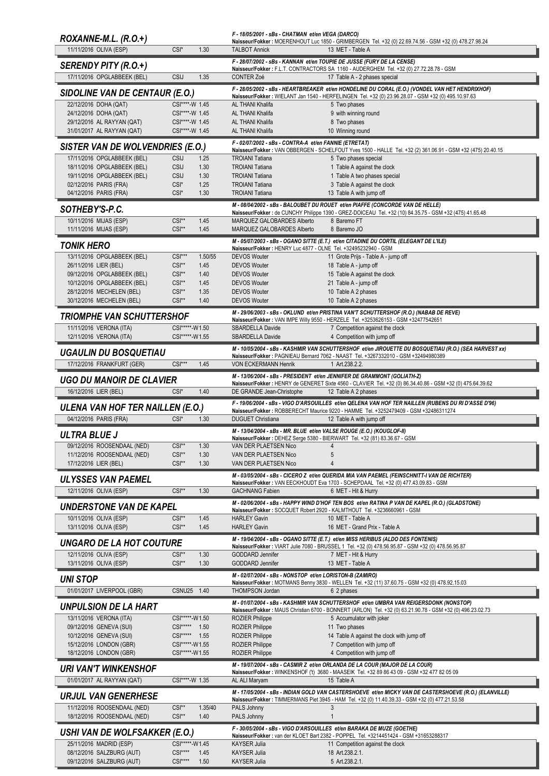| $ROXANNE-M.L. (R.O.+)$                                                 |                                  |                 | F - 18/05/2001 - sBs - CHATMAN et/en VEGA (DARCO)                         | Naisseur/Fokker: MOERENHOUT Luc 1850 - GRIMBERGEN Tel. +32 (0) 22.69.74.56 - GSM +32 (0) 478.27.98.24                                                                                  |
|------------------------------------------------------------------------|----------------------------------|-----------------|---------------------------------------------------------------------------|----------------------------------------------------------------------------------------------------------------------------------------------------------------------------------------|
| 11/11/2016 OLIVA (ESP)                                                 | CSI <sup>*</sup>                 | 1.30            | <b>TALBOT Annick</b>                                                      | 13 MET - Table A                                                                                                                                                                       |
| SERENDY PITY (R.O.+)                                                   |                                  |                 | F - 28/07/2002 - sBs - KANNAN et/en TOUPIE DE JUSSE (FURY DE LA CENSE)    |                                                                                                                                                                                        |
| 17/11/2016 OPGLABBEEK (BEL)                                            | CSIJ                             | 1.35            | <b>CONTER Zoé</b>                                                         | Naisseur/Fokker : F.L.T. CONTRACTORS SA 1160 - AUDERGHEM Tel. +32 (0) 27.72.28.78 - GSM<br>17 Table A - 2 phases special                                                               |
| SIDOLINE VAN DE CENTAUR (E.O.)                                         |                                  |                 |                                                                           | F - 28/05/2002 - sBs - HEARTBREAKER et/en HONDELINE DU CORAL (E.O.) (VONDEL VAN HET HENDRIXHOF)                                                                                        |
| 22/12/2016 DOHA (QAT)                                                  | CSI****-W 1.45                   |                 | AL THANI Khalifa                                                          | Naisseur/Fokker: WIELANT Jan 1540 - HERFELINGEN Tel. +32 (0) 23.96.28.07 - GSM +32 (0) 495.10.97.63<br>5 Two phases                                                                    |
| 24/12/2016 DOHA (QAT)                                                  | CSI****-W 1.45                   |                 | AL THANI Khalifa                                                          | 9 with winning round                                                                                                                                                                   |
| 29/12/2016 AL RAYYAN (QAT)<br>31/01/2017 AL RAYYAN (QAT)               | CSI****-W 1.45<br>CSI****-W 1.45 |                 | AL THANI Khalifa<br><b>AL THANI Khalifa</b>                               | 8 Two phases<br>10 Winning round                                                                                                                                                       |
|                                                                        |                                  |                 | F - 02/07/2002 - sBs - CONTRA-A et/en FANNIE (ETRETAT)                    |                                                                                                                                                                                        |
| <b>SISTER VAN DE WOLVENDRIES (E.O.)</b><br>17/11/2016 OPGLABBEEK (BEL) | <b>CSIJ</b>                      | 1.25            | <b>TROIANI Tatiana</b>                                                    | Naisseur/Fokker: VAN OBBERGEN - SCHELFOUT Yves 1500 - HALLE Tel. +32 (2) 361.06.91 - GSM +32 (475) 20.40.15<br>5 Two phases special                                                    |
| 18/11/2016 OPGLABBEEK (BEL)                                            | <b>CSIJ</b>                      | 1.30            | <b>TROIANI Tatiana</b>                                                    | 1 Table A against the clock                                                                                                                                                            |
| 19/11/2016 OPGLABBEEK (BEL)                                            | <b>CSIJ</b><br>CSI*              | 1.30<br>1.25    | <b>TROIANI Tatiana</b>                                                    | 1 Table A two phases special                                                                                                                                                           |
| 02/12/2016 PARIS (FRA)<br>04/12/2016 PARIS (FRA)                       | $CSI^*$                          | 1.30            | <b>TROIANI Tatiana</b><br><b>TROIANI Tatiana</b>                          | 3 Table A against the clock<br>13 Table A with jump off                                                                                                                                |
| SOTHEBY'S-P.C.                                                         |                                  |                 |                                                                           | M - 08/04/2002 - sBs - BALOUBET DU ROUET et/en PIAFFE (CONCORDE VAN DE HELLE)                                                                                                          |
| 10/11/2016 MIJAS (ESP)                                                 | $CSI**$                          | 1.45            | MARQUEZ GALOBARDES Alberto                                                | Naisseur/Fokker : de CUNCHY Philippe 1390 - GREZ-DOICEAU Tel. +32 (10) 84.35.75 - GSM +32 (475) 41.65.48<br>8 Baremo FT                                                                |
| 11/11/2016 MIJAS (ESP)                                                 | $CSI**$                          | 1.45            | MARQUEZ GALOBARDES Alberto                                                | 8 Baremo JO                                                                                                                                                                            |
| TONIK HERO                                                             |                                  |                 | Naisseur/Fokker: HENRY Luc 4877 - OLNE Tel. +32495232940 - GSM            | M - 05/07/2003 - sBs - OGANO SITTE (E.T.) et/en CITADINE DU CORTIL (ELEGANT DE L'ILE)                                                                                                  |
| 13/11/2016 OPGLABBEEK (BEL)                                            | $CSI***$                         | 1.50/55         | <b>DEVOS Wouter</b>                                                       | 11 Grote Prijs - Table A - jump off                                                                                                                                                    |
| 26/11/2016 LIER (BEL)<br>09/12/2016 OPGLABBEEK (BEL)                   | $CSI**$<br>$CSI**$               | 1.45<br>1.40    | <b>DEVOS Wouter</b><br><b>DEVOS Wouter</b>                                | 18 Table A - jump off<br>15 Table A against the clock                                                                                                                                  |
| 10/12/2016 OPGLABBEEK (BEL)                                            | $CSI**$                          | 1.45            | <b>DEVOS Wouter</b>                                                       | 21 Table A - jump off                                                                                                                                                                  |
| 28/12/2016 MECHELEN (BEL)<br>30/12/2016 MECHELEN (BEL)                 | $CSI**$<br>$CSI**$               | 1.35<br>1.40    | <b>DEVOS Wouter</b><br><b>DEVOS Wouter</b>                                | 10 Table A 2 phases<br>10 Table A 2 phases                                                                                                                                             |
|                                                                        |                                  |                 |                                                                           | M - 29/06/2003 - sBs - OKLUND et/en PRISTINA VAN'T SCHUTTERSHOF (R.O.) (NABAB DE REVE)                                                                                                 |
| <b>TRIOMPHE VAN SCHUTTERSHOF</b><br>11/11/2016 VERONA (ITA)            | CSI*****-W1.50                   |                 | <b>SBARDELLA Davide</b>                                                   | Naisseur/Fokker : VAN IMPE Willy 9550 - HERZELE Tel. +3253626153 - GSM +32477542651                                                                                                    |
| 12/11/2016 VERONA (ITA)                                                | CSI*****-W1.55                   |                 | <b>SBARDELLA Davide</b>                                                   | 7 Competition against the clock<br>4 Competition with jump off                                                                                                                         |
| <b>UGAULIN DU BOSQUETIAU</b>                                           |                                  |                 |                                                                           | M - 10/05/2004 - sBs - KASHMIR VAN SCHUTTERSHOF et/en JIROUETTE DU BOSQUETIAU (R.O.) (SEA HARVEST xx)                                                                                  |
| 17/12/2016 FRANKFURT (GER)                                             | $CSI***$                         | 1.45            | <b>VON ECKERMANN Henrik</b>                                               | Naisseur/Fokker: PAGNIEAU Bernard 7062 - NAAST Tel. +3267332010 - GSM +32494980389<br>1 Art.238.2.2.                                                                                   |
| <b>UGO DU MANOIR DE CLAVIER</b>                                        |                                  |                 |                                                                           | M - 13/06/2004 - sBs - PRESIDENT et/en JENNIFER DE GRAMMONT (GOLIATH-Z)                                                                                                                |
| 16/12/2016 LIER (BEL)                                                  | CSI <sup>*</sup>                 | 1.40            | DE GRANDE Jean-Christophe                                                 | Naisseur/Fokker: HENRY de GENERET Sixte 4560 - CLAVIER Tel. +32 (0) 86.34.40.86 - GSM +32 (0) 475.64.39.62<br>12 Table A 2 phases                                                      |
|                                                                        |                                  |                 |                                                                           |                                                                                                                                                                                        |
|                                                                        |                                  |                 |                                                                           | F-19/06/2004 - sBs - VIGO D'ARSOUILLES et/en QELENA VAN HOF TER NAILLEN (RUBENS DU RI D'ASSE D'96)                                                                                     |
| <b>ULENA VAN HOF TER NAILLEN (E.O.)</b><br>04/12/2016 PARIS (FRA)      | CSI <sup>*</sup>                 | 1.30            | <b>DUGUET Christiana</b>                                                  | Naisseur/Fokker: ROBBERECHT Maurice 9220 - HAMME Tel. +3252479409 - GSM +32486311274<br>12 Table A with jump off                                                                       |
|                                                                        |                                  |                 | M - 13/04/2004 - sBs - MR. BLUE et/en VALSE ROUGE (E.O.) (KOUGLOF-II)     |                                                                                                                                                                                        |
| ULTRA BLUE J                                                           |                                  |                 | Naisseur/Fokker: DEHEZ Serge 5380 - BIERWART Tel. +32 (81) 83.36.67 - GSM | 4                                                                                                                                                                                      |
| 09/12/2016 ROOSENDAAL (NED)<br>11/12/2016 ROOSENDAAL (NED)             | CSI**<br>$CSI**$                 | 1.30<br>1.30    | VAN DER PLAETSEN Nico<br>VAN DER PLAETSEN Nico                            | 5                                                                                                                                                                                      |
| 17/12/2016 LIER (BEL)                                                  | $CSI**$                          | 1.30            | VAN DER PLAETSEN Nico                                                     | $\overline{4}$                                                                                                                                                                         |
| <b>ULYSSES VAN PAEMEL</b>                                              |                                  |                 |                                                                           | M - 03/05/2004 - sBs - CICERO Z et/en QUERIDA MIA VAN PAEMEL (FEINSCHNITT-I VAN DE RICHTER)<br>Naisseur/Fokker : VAN EECKHOUDT Eva 1703 - SCHEPDAAL Tel. +32 (0) 477.43.09.83 - GSM    |
| 12/11/2016 OLIVA (ESP)                                                 | $CSI**$                          | 1.30            | <b>GACHNANG Fabien</b>                                                    | 6 MET - Hit & Hurry                                                                                                                                                                    |
| <b>UNDERSTONE VAN DE KAPEL</b>                                         |                                  |                 |                                                                           | M - 02/06/2004 - sBs - HAPPY WIND D'HOF TEN BOS et/en RATINA P VAN DE KAPEL (R.O.) (GLADSTONE)<br>Naisseur/Fokker: SOCQUET Robert 2920 - KALMTHOUT Tel. +3236660961 - GSM              |
| 10/11/2016 OLIVA (ESP)                                                 | $CSI**$                          | 1.45            | <b>HARLEY Gavin</b>                                                       | 10 MET - Table A                                                                                                                                                                       |
| 13/11/2016 OLIVA (ESP)                                                 | $CSI**$                          | 1.45            | <b>HARLEY Gavin</b>                                                       | 16 MET - Grand Prix - Table A                                                                                                                                                          |
| UNGARO DE LA HOT COUTURE                                               |                                  |                 |                                                                           | M - 19/04/2004 - sBs - OGANO SITTE (E.T.) et/en MISS HERIBUS (ALDO DES FONTENIS)<br>Naisseur/Fokker: VIART Julie 7080 - BRUSSEL 1 Tel. +32 (0) 478.56.95.87 - GSM +32 (0) 478.56.95.87 |
| 12/11/2016 OLIVA (ESP)<br>13/11/2016 OLIVA (ESP)                       | $CSI**$<br>$CSI**$               | 1.30<br>1.30    | <b>GODDARD Jennifer</b><br><b>GODDARD Jennifer</b>                        | 7 MET - Hit & Hurry<br>13 MET - Table A                                                                                                                                                |
|                                                                        |                                  |                 | M - 02/07/2004 - sBs - NONSTOP et/en LORISTON-B (ZAMIRO)                  |                                                                                                                                                                                        |
| <b>UNI STOP</b>                                                        | CSNU25 1.40                      |                 | <b>THOMPSON Jordan</b>                                                    | Naisseur/Fokker: MOTMANS Benny 3830 - WELLEN Tel. +32 (11) 37.60.75 - GSM +32 (0) 478.92.15.03<br>6 2 phases                                                                           |
| 01/01/2017 LIVERPOOL (GBR)                                             |                                  |                 |                                                                           | M-01/07/2004 - sBs - KASHMIR VAN SCHUTTERSHOF et/en UMBRA VAN REIGERSDONK (NONSTOP)                                                                                                    |
| <b>UNPULSION DE LA HART</b>                                            |                                  |                 |                                                                           | Naisseur/Fokker: MAUS Christian 6700 - BONNERT (ARLON) Tel. +32 (0) 63.21.90.78 - GSM +32 (0) 496.23.02.73                                                                             |
| 13/11/2016 VERONA (ITA)<br>09/12/2016 GENEVA (SUI)                     | CSI*****-W1.50<br>CSI***** 1.50  |                 | <b>ROZIER Philippe</b><br>ROZIER Philippe                                 | 5 Accumulator with joker<br>11 Two phases                                                                                                                                              |
| 10/12/2016 GENEVA (SUI)                                                | CSI***** 1.55                    |                 | <b>ROZIER Philippe</b>                                                    | 14 Table A against the clock with jump off                                                                                                                                             |
| 15/12/2016 LONDON (GBR)<br>18/12/2016 LONDON (GBR)                     | CSI*****-W1.55<br>CSI*****-W1.55 |                 | <b>ROZIER Philippe</b><br><b>ROZIER Philippe</b>                          | 7 Competition with jump off<br>4 Competition with jump off                                                                                                                             |
|                                                                        |                                  |                 |                                                                           | M - 19/07/2004 - sBs - CASMIR Z et/en ORLANDA DE LA COUR (MAJOR DE LA COUR)                                                                                                            |
| <b>URI VAN'T WINKENSHOF</b><br>01/01/2017 AL RAYYAN (QAT)              | CSI****-W 1.35                   |                 | AL ALI Maryam                                                             | Naisseur/Fokker: WINKENSHOF ('t) 3680 - MAASEIK Tel. +32 89 86 43 09 - GSM +32 477 82 05 09<br>15 Table A                                                                              |
|                                                                        |                                  |                 |                                                                           | M - 17/05/2004 - sBs - INDIAN GOLD VAN CASTERSHOEVE et/en MICKY VAN DE CASTERSHOEVE (R.O.) (ELANVILLE)                                                                                 |
| <b>URJUL VAN GENERHESE</b>                                             |                                  |                 |                                                                           | Naisseur/Fokker: TIMMERMANS Piet 3945 - HAM Tel. +32 (0) 11.40.39.33 - GSM +32 (0) 477.21.53.58                                                                                        |
| 11/12/2016 ROOSENDAAL (NED)<br>18/12/2016 ROOSENDAAL (NED)             | $CSI**$<br>$CSI**$               | 1.35/40<br>1.40 | PALS Johnny<br>PALS Johnny                                                | 3<br>$\overline{1}$                                                                                                                                                                    |
|                                                                        |                                  |                 |                                                                           | F - 30/05/2004 - sBs - VIGO D'ARSOUILLES et/en BARAKA DE MUZE (GOETHE)                                                                                                                 |
| <b>USHI VAN DE WOLFSAKKER (E.O.)</b><br>25/11/2016 MADRID (ESP)        | CSI*****-W1.45                   |                 | <b>KAYSER Julia</b>                                                       | Naisseur/Fokker : van der KLOET Bart 2382 - POPPEL Tel. +3214451424 - GSM +31653288317<br>11 Competition against the clock                                                             |
| 08/12/2016 SALZBURG (AUT)<br>09/12/2016 SALZBURG (AUT)                 | $CSI***$<br>$CSI***$             | 1.45<br>1.50    | <b>KAYSER Julia</b><br><b>KAYSER Julia</b>                                | 18 Art.238.2.1.<br>5 Art.238.2.1.                                                                                                                                                      |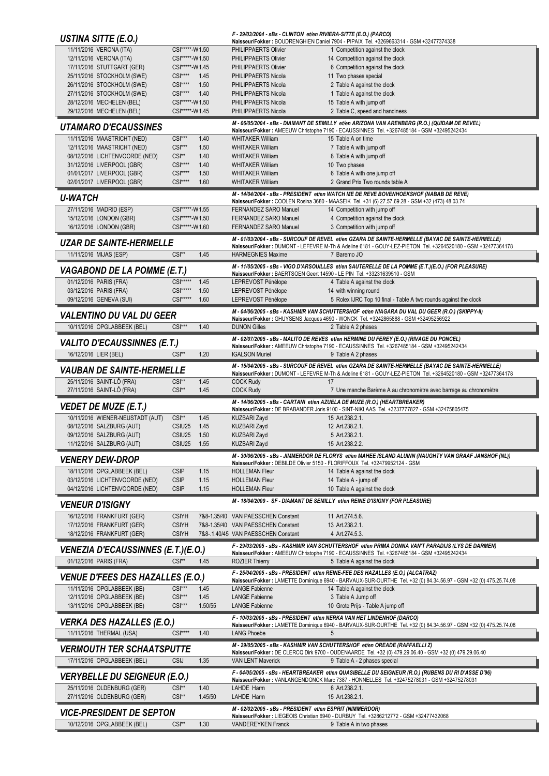| USTINA SITTE (E.O.)                                            |                                  |                 | F - 29/03/2004 - sBs - CLINTON et/en RIVIERA-SITTE (E.O.) (PARCO)        | Naisseur/Fokker: BOUDRENGHIEN Daniel 7904 - PIPAIX Tel. +3269663314 - GSM +32477374338                                                                                                                           |
|----------------------------------------------------------------|----------------------------------|-----------------|--------------------------------------------------------------------------|------------------------------------------------------------------------------------------------------------------------------------------------------------------------------------------------------------------|
| 11/11/2016 VERONA (ITA)                                        | CSI*****-W1.50                   |                 | PHILIPPAERTS Olivier                                                     | 1 Competition against the clock                                                                                                                                                                                  |
| 12/11/2016 VERONA (ITA)                                        | CSI*****-W1.50                   |                 | PHILIPPAERTS Olivier                                                     | 14 Competition against the clock                                                                                                                                                                                 |
| 17/11/2016 STUTTGART (GER)<br>25/11/2016 STOCKHOLM (SWE)       | CSI*****-W1.45<br>$CSI***$       | 1.45            | PHILIPPAERTS Olivier<br>PHILIPPAERTS Nicola                              | 6 Competition against the clock<br>11 Two phases special                                                                                                                                                         |
| 26/11/2016 STOCKHOLM (SWE)                                     | $CSI***$                         | 1.50            | PHILIPPAERTS Nicola                                                      | 2 Table A against the clock                                                                                                                                                                                      |
| 27/11/2016 STOCKHOLM (SWE)                                     | $CSI***$                         | 1.40            | PHILIPPAERTS Nicola                                                      | 1 Table A against the clock                                                                                                                                                                                      |
| 28/12/2016 MECHELEN (BEL)                                      | CSI*****-W1.50                   |                 | PHILIPPAERTS Nicola                                                      | 15 Table A with jump off                                                                                                                                                                                         |
| 29/12/2016 MECHELEN (BEL)                                      | CSI*****-W1.45                   |                 | <b>PHILIPPAERTS Nicola</b>                                               | 2 Table C, speed and handiness                                                                                                                                                                                   |
| <b>UTAMARO D'ECAUSSINES</b>                                    |                                  |                 |                                                                          | M - 06/05/2004 - sBs - DIAMANT DE SEMILLY et/en ARIZONA VAN ARENBERG (R.O.) (QUIDAM DE REVEL)<br>Naisseur/Fokker: AMEEUW Christophe 7190 - ECAUSSINNES Tel. +3267485184 - GSM +32495242434                       |
| 11/11/2016 MAASTRICHT (NED)                                    | $CSI***$                         | 1.40            | <b>WHITAKER William</b>                                                  | 15 Table A on time                                                                                                                                                                                               |
| 12/11/2016 MAASTRICHT (NED)                                    | $CSI***$                         | 1.50            | <b>WHITAKER William</b>                                                  | 7 Table A with jump off                                                                                                                                                                                          |
| 08/12/2016 LICHTENVOORDE (NED)                                 | $CSI**$                          | 1.40            | <b>WHITAKER William</b>                                                  | 8 Table A with jump off                                                                                                                                                                                          |
| 31/12/2016 LIVERPOOL (GBR)<br>01/01/2017 LIVERPOOL (GBR)       | $CSI***$<br>$CSI***$             | 1.40<br>1.50    | <b>WHITAKER William</b><br><b>WHITAKER William</b>                       | 10 Two phases<br>6 Table A with one jump off                                                                                                                                                                     |
| 02/01/2017 LIVERPOOL (GBR)                                     | $CS$ <sup>****</sup>             | 1.60            | <b>WHITAKER William</b>                                                  | 2 Grand Prix Two rounds table A                                                                                                                                                                                  |
| <b>U-WATCH</b>                                                 |                                  |                 |                                                                          | M - 14/04/2004 - sBs - PRESIDENT et/en WATCH ME DE REVE BOVENHOEKSHOF (NABAB DE REVE)                                                                                                                            |
|                                                                |                                  |                 |                                                                          | Naisseur/Fokker: COOLEN Rosina 3680 - MAASEIK Tel. +31 (6) 27.57.69.28 - GSM +32 (473) 48.03.74                                                                                                                  |
| 27/11/2016 MADRID (ESP)<br>15/12/2016 LONDON (GBR)             | CSI*****-W1.55<br>CSI*****-W1.50 |                 | FERNANDEZ SARO Manuel<br><b>FERNANDEZ SARO Manuel</b>                    | 14 Competition with jump off<br>4 Competition against the clock                                                                                                                                                  |
| 16/12/2016 LONDON (GBR)                                        | CSI*****-W1.60                   |                 | <b>FERNANDEZ SARO Manuel</b>                                             | 3 Competition with jump off                                                                                                                                                                                      |
| <b>UZAR DE SAINTE-HERMELLE</b>                                 |                                  |                 |                                                                          | M - 01/03/2004 - sBs - SURCOUF DE REVEL et/en GZARA DE SAINTE-HERMELLE (BAYAC DE SAINTE-HERMELLE)                                                                                                                |
|                                                                |                                  |                 | <b>HARMEGNIES Maxime</b>                                                 | Naisseur/Fokker: DUMONT - LEFEVRE M-Th & Adeline 6181 - GOUY-LEZ-PIETON Tel. +3264520180 - GSM +32477364178                                                                                                      |
| 11/11/2016 MIJAS (ESP)                                         | $CSI**$                          | 1.45            |                                                                          | 7 Baremo JO                                                                                                                                                                                                      |
| <b>VAGABOND DE LA POMME (E.T.)</b>                             |                                  |                 |                                                                          | M - 11/05/2005 - sBs - VIGO D'ARSOUILLES et/en SAUTERELLE DE LA POMME (E.T.)(E.O.) (FOR PLEASURE)<br>Naisseur/Fokker: BAERTSOEN Geert 14590 - LE PIN Tel. +33231639510 - GSM                                     |
| 01/12/2016 PARIS (FRA)                                         | $CSI***$                         | 1.45            | LEPREVOST Pénélope                                                       | 4 Table A against the clock                                                                                                                                                                                      |
| 03/12/2016 PARIS (FRA)                                         | $CSI***$                         | 1.50            | LEPREVOST Pénélope                                                       | 14 with winning round                                                                                                                                                                                            |
| 09/12/2016 GENEVA (SUI)                                        | $CS$ <sup>*****</sup>            | 1.60            | LEPREVOST Pénélope                                                       | 5 Rolex IJRC Top 10 final - Table A two rounds against the clock                                                                                                                                                 |
| <b>VALENTINO DU VAL DU GEER</b>                                |                                  |                 |                                                                          | M - 04/06/2005 - sBs - KASHMIR VAN SCHUTTERSHOF et/en NIAGARA DU VAL DU GEER (R.O.) (SKIPPY-II)<br>Naisseur/Fokker : GHUYSENS Jacques 4690 - WONCK Tel. +3242865888 - GSM +32495256922                           |
| 10/11/2016 OPGLABBEEK (BEL)                                    | $CSI***$                         | 1.40            | <b>DUNON Gilles</b>                                                      | 2 Table A 2 phases                                                                                                                                                                                               |
|                                                                |                                  |                 |                                                                          | M - 02/07/2005 - sBs - MALITO DE REVES et/en HERMINE DU FEREY (E.O.) (RIVAGE DU PONCEL)                                                                                                                          |
| <b>VALITO D'ECAUSSINNES (E.T.)</b>                             |                                  |                 |                                                                          | Naisseur/Fokker: AMEEUW Christophe 7190 - ECAUSSINNES Tel. +3267485184 - GSM +32495242434                                                                                                                        |
| 16/12/2016 LIER (BEL)                                          | $CSI**$                          | 1.20            | <b>IGALSON Muriel</b>                                                    | 9 Table A 2 phases                                                                                                                                                                                               |
| <b>VAUBAN DE SAINTE-HERMELLE</b>                               |                                  |                 |                                                                          | M - 15/04/2005 - sBs - SURCOUF DE REVEL et/en GZARA DE SAINTE-HERMELLE (BAYAC DE SAINTE-HERMELLE)<br>Naisseur/Fokker: DUMONT - LEFEVRE M-Th & Adeline 6181 - GOUY-LEZ-PIETON Tel. +3264520180 - GSM +32477364178 |
| 25/11/2016 SAINT-LÔ (FRA)                                      | $CSI**$                          | 1.45            | <b>COCK Rudy</b>                                                         | 17                                                                                                                                                                                                               |
| 27/11/2016 SAINT-LÔ (FRA)                                      | $CSI**$                          | 1.45            | <b>COCK Rudy</b>                                                         | 7 Une manche Barème A au chronomètre avec barrage au chronomètre                                                                                                                                                 |
| <b>VEDET DE MUZE (E.T.)</b>                                    |                                  |                 |                                                                          | M - 14/06/2005 - sBs - CARTANI et/en AZUELA DE MUZE (R.O.) (HEARTBREAKER)                                                                                                                                        |
| 10/11/2016 WIENER-NEUSTADT (AUT)                               | $CSI**$                          | 1.45            | KUZBARI Zayd                                                             | Naisseur/Fokker : DE BRABANDER Joris 9100 - SINT-NIKLAAS Tel. +3237777827 - GSM +32475805475<br>15 Art.238.2.1.                                                                                                  |
| 08/12/2016 SALZBURG (AUT)                                      | CSIU25                           | 1.45            | <b>KUZBARI Zayd</b>                                                      | 12 Art.238.2.1.                                                                                                                                                                                                  |
| 09/12/2016 SALZBURG (AUT)                                      | CSIU25                           | 1.50            | KUZBARI Zayd                                                             |                                                                                                                                                                                                                  |
| 11/12/2016 SALZBURG (AUT)                                      |                                  | 1.55            |                                                                          | 5 Art.238.2.1.                                                                                                                                                                                                   |
|                                                                | CSIU25                           |                 | KUZBARI Zayd                                                             | 15 Art.238.2.2.                                                                                                                                                                                                  |
|                                                                |                                  |                 |                                                                          | M - 30/06/2005 - sBs - JIMMERDOR DE FLORYS et/en MAHEE ISLAND ALUINN (NAUGHTY VAN GRAAF JANSHOF (NL))                                                                                                            |
| <i><b>VENERY DEW-DROP</b></i>                                  |                                  |                 |                                                                          | Naisseur/Fokker: DEBILDE Olivier 5150 - FLORIFFOUX Tel. +32479952124 - GSM                                                                                                                                       |
| 18/11/2016 OPGLABBEEK (BEL)<br>03/12/2016 LICHTENVOORDE (NED)  | <b>CSIP</b><br><b>CSIP</b>       | 1.15<br>1.15    | <b>HOLLEMAN Fleur</b><br><b>HOLLEMAN Fleur</b>                           | 14 Table A against the clock<br>14 Table A - jump off                                                                                                                                                            |
| 04/12/2016 LICHTENVOORDE (NED)                                 | <b>CSIP</b>                      | 1.15            | <b>HOLLEMAN Fleur</b>                                                    | 10 Table A against the clock                                                                                                                                                                                     |
|                                                                |                                  |                 |                                                                          | M - 18/04/2009 - SF - DIAMANT DE SEMILLY et/en REINE D'ISIGNY (FOR PLEASURE)                                                                                                                                     |
| <b>VENEUR D'ISIGNY</b>                                         |                                  |                 |                                                                          | 11 Art.274.5.6.                                                                                                                                                                                                  |
| 16/12/2016 FRANKFURT (GER)<br>17/12/2016 FRANKFURT (GER)       | <b>CSIYH</b><br><b>CSIYH</b>     |                 | 7&8-1.35/40 VAN PAESSCHEN Constant<br>7&8-1.35/40 VAN PAESSCHEN Constant | 13 Art.238.2.1.                                                                                                                                                                                                  |
| 18/12/2016 FRANKFURT (GER)                                     | <b>CSIYH</b>                     |                 | 7&8-.1.40/45 VAN PAESSCHEN Constant                                      | 4 Art.274.5.3.                                                                                                                                                                                                   |
|                                                                |                                  |                 |                                                                          | F - 29/03/2005 - sBs - KASHMIR VAN SCHUTTERSHOF et/en PRIMA DONNA VAN'T PARADIJS (LYS DE DARMEN)                                                                                                                 |
| <b>VENEZIA D'ECAUSSINNES (E.T.)(E.O.)</b>                      | $CSI**$                          | 1.45            |                                                                          | Naisseur/Fokker: AMEEUW Christophe 7190 - ECAUSSINNES Tel. +3267485184 - GSM +32495242434                                                                                                                        |
| 01/12/2016 PARIS (FRA)                                         |                                  |                 | <b>ROZIER Thierry</b>                                                    | 5 Table A against the clock                                                                                                                                                                                      |
| <b>VENUE D'FEES DES HAZALLES (E.O.)</b>                        |                                  |                 |                                                                          | F - 25/04/2005 - sBs - PRESIDENT et/en REINE-FEE DES HAZALLES (E.O.) (ALCATRAZ)<br>Naisseur/Fokker : LAMETTE Dominique 6940 - BARVAUX-SUR-OURTHE Tel. +32 (0) 84.34.56.97 - GSM +32 (0) 475.25.74.08             |
| 11/11/2016 OPGLABBEEK (BE)                                     | $CSI***$                         | 1.45            | <b>LANGE Fabienne</b>                                                    | 14 Table A against the clock                                                                                                                                                                                     |
| 12/11/2016 OPGLABBEEK (BE)                                     | $CSI***$                         | 1.45            | <b>LANGE Fabienne</b>                                                    | 3 Table A Jump off                                                                                                                                                                                               |
| 13/11/2016 OPGLABBEEK (BE)                                     | $CSI***$                         | 1.50/55         | <b>LANGE Fabienne</b>                                                    | 10 Grote Prijs - Table A jump off                                                                                                                                                                                |
| <b>VERKA DES HAZALLES (E.O.)</b>                               |                                  |                 |                                                                          | F - 10/03/2005 - sBs - PRESIDENT et/en NERKA VAN HET LINDENHOF (DARCO)<br>Naisseur/Fokker : LAMETTE Dominique 6940 - BARVAUX-SUR-OURTHE Tel. +32 (0) 84.34.56.97 - GSM +32 (0) 475.25.74.08                      |
| 11/11/2016 THERMAL (USA)                                       | $CSI***$                         | 1.40            | <b>LANG Phoebe</b>                                                       | 5                                                                                                                                                                                                                |
| <i><b>VERMOUTH TER SCHAATSPUTTE</b></i>                        |                                  |                 |                                                                          | M - 29/05/2005 - sBs - KASHMIR VAN SCHUTTERSHOF et/en OREADE (RAFFAELLI Z)                                                                                                                                       |
| 17/11/2016 OPGLABBEEK (BEL)                                    | <b>CSIJ</b>                      | 1.35            | <b>VAN LENT Maverick</b>                                                 | Naisseur/Fokker: DE CLERCQ Dirk 9700 - OUDENAARDE Tel. +32 (0) 479.29.06.40 - GSM +32 (0) 479.29.06.40<br>9 Table A - 2 phases special                                                                           |
|                                                                |                                  |                 |                                                                          | F - 04/05/2005 - sBs - HEARTBREAKER et/en QUASIBELLE DU SEIGNEUR (R.O.) (RUBENS DU RI D'ASSE D'96)                                                                                                               |
| <b>VERYBELLE DU SEIGNEUR (E.O.)</b>                            |                                  |                 |                                                                          | Naisseur/Fokker: VANLANGENDONCK Marc 7387 - HONNELLES Tel. +32475278031 - GSM +32475278031                                                                                                                       |
| 25/11/2016 OLDENBURG (GER)<br>27/11/2016 OLDENBURG (GER)       | CSI**<br>CSI**                   | 1.40<br>1.45/50 | LAHDE Harm<br>LAHDE Harm                                                 | 6 Art.238.2.1.<br>15 Art.238.2.1.                                                                                                                                                                                |
|                                                                |                                  |                 | M - 02/02/2005 - sBs - PRESIDENT et/en ESPRIT (NIMMERDOR)                |                                                                                                                                                                                                                  |
| <b>VICE-PRESIDENT DE SEPTON</b><br>10/12/2016 OPGLABBEEK (BEL) | $CSI**$                          | 1.30            | <b>VANDEREYKEN Franck</b>                                                | Naisseur/Fokker : LIEGEOIS Christian 6940 - DURBUY Tel. +3286212772 - GSM +32477432068<br>9 Table A in two phases                                                                                                |